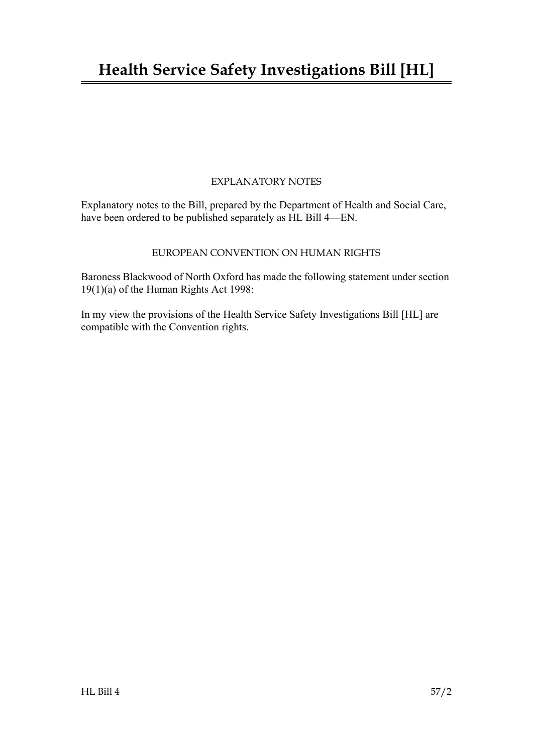# **Health Service Safety Investigations Bill [HL]**

## EXPLANATORY NOTES

Explanatory notes to the Bill, prepared by the Department of Health and Social Care, have been ordered to be published separately as HL Bill 4—EN.

## EUROPEAN CONVENTION ON HUMAN RIGHTS

Baroness Blackwood of North Oxford has made the following statement under section 19(1)(a) of the Human Rights Act 1998:

In my view the provisions of the Health Service Safety Investigations Bill [HL] are compatible with the Convention rights.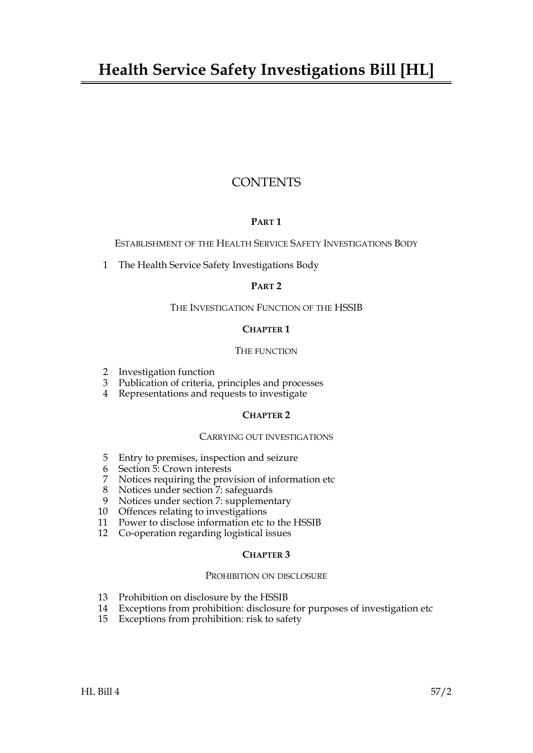## **CONTENTS**

## **PART 1**

ESTABLISHMENT OF THE HEALTH SERVICE SAFETY INVESTIGATIONS BODY

[1 The Health Service Safety Investigations Body](#page-6-0)

## **PART 2**

## THE INVESTIGATION FUNCTION OF THE HSSIB

## **CHAPTER 1**

## THE FUNCTION

- [2 Investigation function](#page-6-1)
- [3 Publication of criteria, principles and processes](#page-7-0)
- [4 Representations and requests to investigate](#page-8-0)

## **CHAPTER 2**

## CARRYING OUT INVESTIGATIONS

- [5 Entry to premises, inspection and seizure](#page-8-1)
- 6 [Section](#page-9-0) [5:](#page-8-1) Crown interests
- [7 Notices requiring the provision of information etc](#page-9-1)
- 8 [Notices under section](#page-10-0) [7](#page-9-1): safeguards
- 9 [Notices under section](#page-11-0) [7](#page-9-1): supplementary
- [10 Offences relating to investigations](#page-11-1)
- [11 Power to disclose information etc to the HSSIB](#page-12-0)
- [12 Co-operation regarding logistical issues](#page-12-1)

## **CHAPTER 3**

## PROHIBITION ON DISCLOSURE

- [13 Prohibition on disclosure by the HSSIB](#page-13-0)
- [14 Exceptions from prohibition: disclosure for purposes of investigation etc](#page-13-1)
- 15 [Exceptions from prohibition: risk to safety](#page-14-0)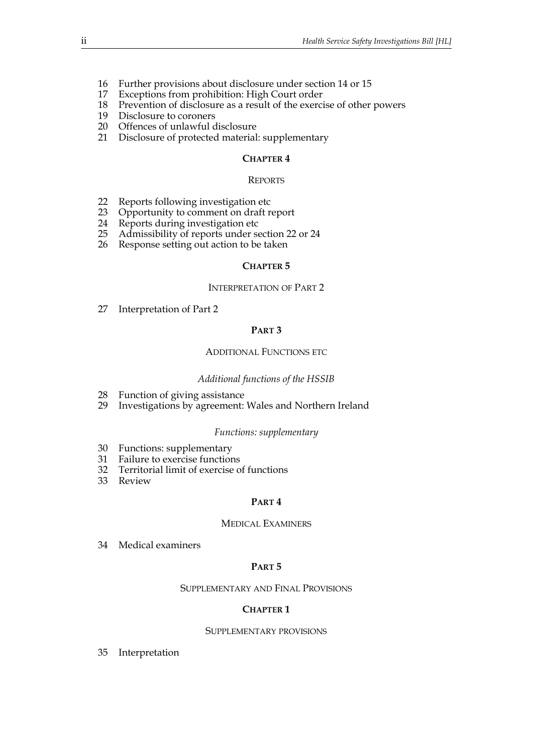- 16 [Further provisions about disclosure under section](#page-14-1) [14](#page-13-1) or [15](#page-14-0)
- [17 Exceptions from prohibition: High Court order](#page-14-2)
- [18 Prevention of disclosure as a result of the exercise of other powers](#page-15-0)
- [19 Disclosure to coroners](#page-15-1)
- [20 Offences of unlawful disclosure](#page-16-0)
- [21 Disclosure of protected material: supplementary](#page-17-0)

## **CHAPTER 4**

#### REPORTS

- [22 Reports following investigation etc](#page-17-1)
- [23 Opportunity to comment on draft report](#page-18-0)
- [24 Reports during investigation etc](#page-18-1)
- 25 [Admissibility of reports under section](#page-19-0) [22](#page-17-1) or [24](#page-18-1)
- [26 Response setting out action to be taken](#page-19-1)

## **CHAPTER 5**

#### INTERPRETATION OF PART 2

[27 Interpretation of Part 2](#page-19-2)

## **PART 3**

## ADDITIONAL FUNCTIONS ETC

## *Additional functions of the HSSIB*

- [28 Function of giving assistance](#page-20-0)
- [29 Investigations by agreement: Wales and Northern Ireland](#page-21-0)

## *Functions: supplementary*

- [30 Functions: supplementary](#page-22-0)
- [31 Failure to exercise functions](#page-22-1)
- [32 Territorial limit of exercise of functions](#page-22-2)
- [33 Review](#page-23-0)

## **PART 4**

## MEDICAL EXAMINERS

[34 Medical examiners](#page-23-1)

## **PART 5**

## SUPPLEMENTARY AND FINAL PROVISIONS

## **CHAPTER 1**

## SUPPLEMENTARY PROVISIONS

35 [Interpretation](#page-24-0)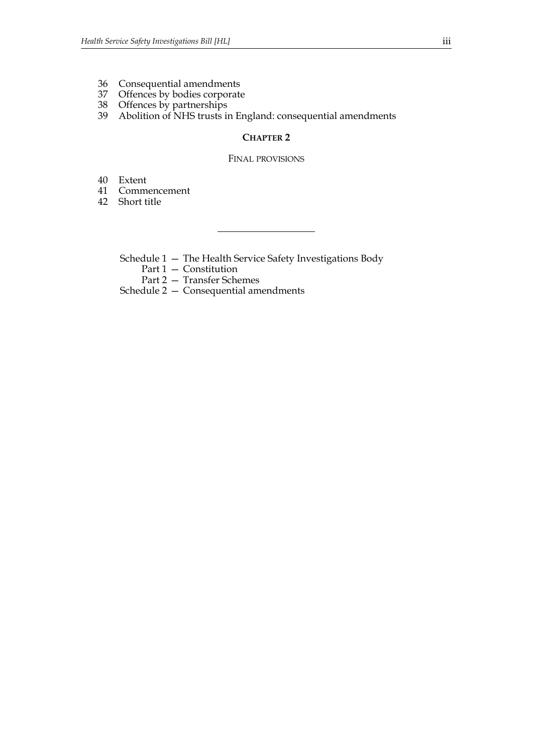- [36 Consequential amendments](#page-25-0)<br>37 Offences by bodies corporate
- Offences by bodies corporate
- [38 Offences by partnerships](#page-25-2)
- [39 Abolition of NHS trusts in England: consequential amendments](#page-26-0)

## **CHAPTER 2**

#### FINAL PROVISIONS

[40 Extent](#page-26-1)<br>41 Comm

- **Commencement**
- [42 Short title](#page-26-3)
	- [Schedule 1 The Health Service Safety Investigations Body](#page-27-0)
		- Part 1 Constitution
		- Part 2 Transfer Schemes

Schedule 2 [— Consequential amendments](#page-34-0)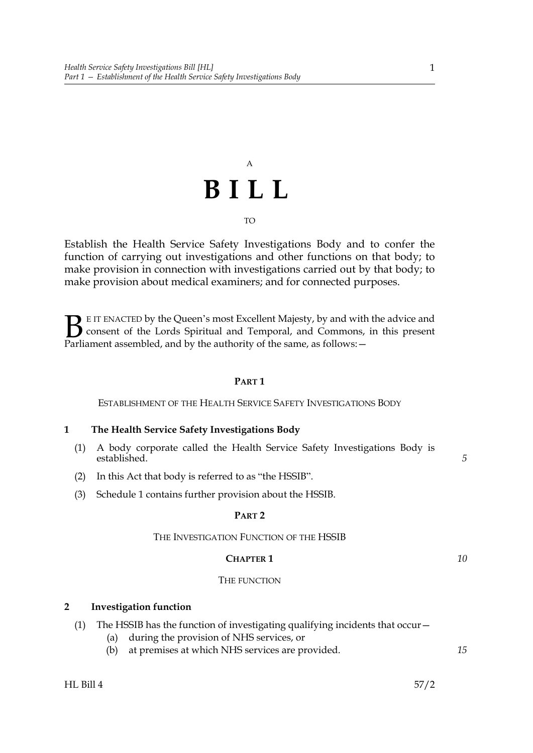# A **BILL**

TO

Establish the Health Service Safety Investigations Body and to confer the function of carrying out investigations and other functions on that body; to make provision in connection with investigations carried out by that body; to make provision about medical examiners; and for connected purposes.

E IT ENACTED by the Queen's most Excellent Majesty, by and with the advice and consent of the Lords Spiritual and Temporal, and Commons, in this present Parliament assembled, and by the authority of the same, as follows: - $\mathbf{B}_{\text{rel}}$ 

## **PART 1**

<span id="page-6-0"></span>ESTABLISHMENT OF THE HEALTH SERVICE SAFETY INVESTIGATIONS BODY

## <span id="page-6-4"></span>**1 The Health Service Safety Investigations Body**

- (1) A body corporate called the Health Service Safety Investigations Body is established.
- <span id="page-6-5"></span>(2) In this Act that body is referred to as "the HSSIB".
- (3) Schedule [1](#page-27-0) contains further provision about the HSSIB.

## **PART 2**

## THE INVESTIGATION FUNCTION OF THE HSSIB

## **CHAPTER 1**

## THE FUNCTION

## <span id="page-6-3"></span><span id="page-6-1"></span>**2 Investigation function**

- <span id="page-6-2"></span>(1) The HSSIB has the function of investigating qualifying incidents that occur—
	- (a) during the provision of NHS services, or
	- (b) at premises at which NHS services are provided.

*5*

*10*

*15*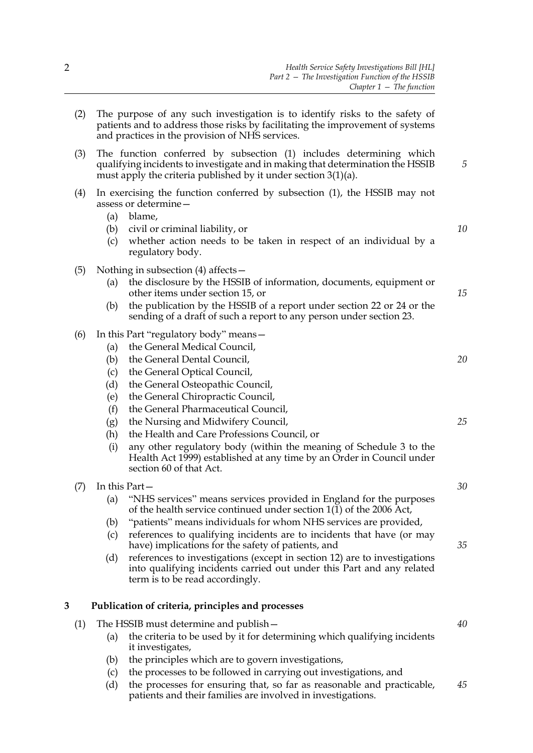<span id="page-7-12"></span><span id="page-7-3"></span>

|   | (2) | The purpose of any such investigation is to identify risks to the safety of<br>patients and to address those risks by facilitating the improvement of systems<br>and practices in the provision of NHS services.           |                                                                                                                                                                                                                                                                                                                                                                                          |    |
|---|-----|----------------------------------------------------------------------------------------------------------------------------------------------------------------------------------------------------------------------------|------------------------------------------------------------------------------------------------------------------------------------------------------------------------------------------------------------------------------------------------------------------------------------------------------------------------------------------------------------------------------------------|----|
|   | (3) | The function conferred by subsection (1) includes determining which<br>qualifying incidents to investigate and in making that determination the HSSIB<br>must apply the criteria published by it under section $3(1)(a)$ . |                                                                                                                                                                                                                                                                                                                                                                                          |    |
|   | (4) | (a)<br>(b)<br>(c)                                                                                                                                                                                                          | In exercising the function conferred by subsection (1), the HSSIB may not<br>assess or determine -<br>blame,<br>civil or criminal liability, or<br>whether action needs to be taken in respect of an individual by a<br>regulatory body.                                                                                                                                                 | 10 |
|   | (5) | (a)<br>(b)                                                                                                                                                                                                                 | Nothing in subsection $(4)$ affects –<br>the disclosure by the HSSIB of information, documents, equipment or<br>other items under section 15, or<br>the publication by the HSSIB of a report under section 22 or 24 or the<br>sending of a draft of such a report to any person under section 23.                                                                                        | 15 |
|   | (6) | (a)<br>(b)<br>(c)<br>(d)                                                                                                                                                                                                   | In this Part "regulatory body" means -<br>the General Medical Council,<br>the General Dental Council,<br>the General Optical Council,<br>the General Osteopathic Council,                                                                                                                                                                                                                | 20 |
|   |     | (e)<br>(f)<br>(g)<br>(h)<br>(i)                                                                                                                                                                                            | the General Chiropractic Council,<br>the General Pharmaceutical Council,<br>the Nursing and Midwifery Council,<br>the Health and Care Professions Council, or<br>any other regulatory body (within the meaning of Schedule 3 to the<br>Health Act 1999) established at any time by an Order in Council under<br>section 60 of that Act.                                                  | 25 |
|   | (7) | In this Part-<br>(a)                                                                                                                                                                                                       | "NHS services" means services provided in England for the purposes<br>of the health service continued under section $1(1)$ of the 2006 Act,                                                                                                                                                                                                                                              | 30 |
|   |     | (b)<br>(c)<br>(d)                                                                                                                                                                                                          | "patients" means individuals for whom NHS services are provided,<br>references to qualifying incidents are to incidents that have (or may<br>have) implications for the safety of patients, and<br>references to investigations (except in section 12) are to investigations<br>into qualifying incidents carried out under this Part and any related<br>term is to be read accordingly. | 35 |
| 3 |     |                                                                                                                                                                                                                            | Publication of criteria, principles and processes                                                                                                                                                                                                                                                                                                                                        |    |
|   | (1) | (a)                                                                                                                                                                                                                        | The HSSIB must determine and publish –<br>the criteria to be used by it for determining which qualifying incidents<br>it investigates,                                                                                                                                                                                                                                                   | 40 |
|   |     | (b)<br>(c)                                                                                                                                                                                                                 | the principles which are to govern investigations,<br>the processes to be followed in carrying out investigations, and                                                                                                                                                                                                                                                                   |    |
|   |     | (d)                                                                                                                                                                                                                        | the processes for ensuring that, so far as reasonable and practicable,                                                                                                                                                                                                                                                                                                                   | 45 |

<span id="page-7-11"></span><span id="page-7-10"></span><span id="page-7-9"></span><span id="page-7-8"></span><span id="page-7-7"></span><span id="page-7-6"></span><span id="page-7-5"></span><span id="page-7-4"></span><span id="page-7-2"></span><span id="page-7-1"></span><span id="page-7-0"></span>patients and their families are involved in investigations.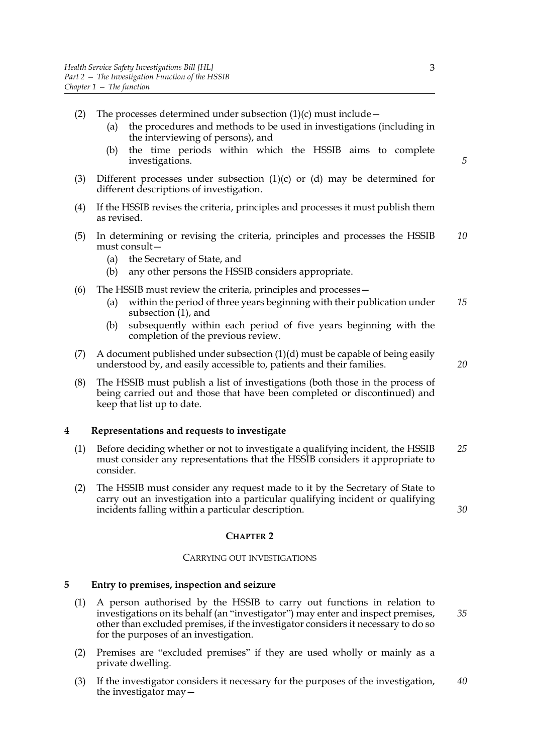- (2) The processes determined under subsection  $(1)(c)$  $(1)(c)$  must include
	- (a) the procedures and methods to be used in investigations (including in the interviewing of persons), and
	- (b) the time periods within which the HSSIB aims to complete investigations.
- (3) Different processes under subsection [\(1\)](#page-7-4)[\(c\)](#page-7-5) or [\(d\)](#page-7-6) may be determined for different descriptions of investigation.
- (4) If the HSSIB revises the criteria, principles and processes it must publish them as revised.
- (5) In determining or revising the criteria, principles and processes the HSSIB must consult— *10*
	- (a) the Secretary of State, and
	- (b) any other persons the HSSIB considers appropriate.
- (6) The HSSIB must review the criteria, principles and processes—
	- (a) within the period of three years beginning with their publication under subsection [\(1\),](#page-7-4) and *15*
	- (b) subsequently within each period of five years beginning with the completion of the previous review.
- (7) A document published under subsection  $(1)(d)$  must be capable of being easily understood by, and easily accessible to, patients and their families.
- (8) The HSSIB must publish a list of investigations (both those in the process of being carried out and those that have been completed or discontinued) and keep that list up to date.

## <span id="page-8-0"></span>**4 Representations and requests to investigate**

- (1) Before deciding whether or not to investigate a qualifying incident, the HSSIB must consider any representations that the HSSIB considers it appropriate to consider. *25*
- (2) The HSSIB must consider any request made to it by the Secretary of State to carry out an investigation into a particular qualifying incident or qualifying incidents falling within a particular description.

## *30*

*20*

## **CHAPTER 2**

## CARRYING OUT INVESTIGATIONS

## <span id="page-8-2"></span><span id="page-8-1"></span>**5 Entry to premises, inspection and seizure**

- <span id="page-8-4"></span>(1) A person authorised by the HSSIB to carry out functions in relation to investigations on its behalf (an "investigator") may enter and inspect premises, other than excluded premises, if the investigator considers it necessary to do so for the purposes of an investigation.
- (2) Premises are "excluded premises" if they are used wholly or mainly as a private dwelling.
- <span id="page-8-3"></span>(3) If the investigator considers it necessary for the purposes of the investigation, the investigator may— *40*

*5*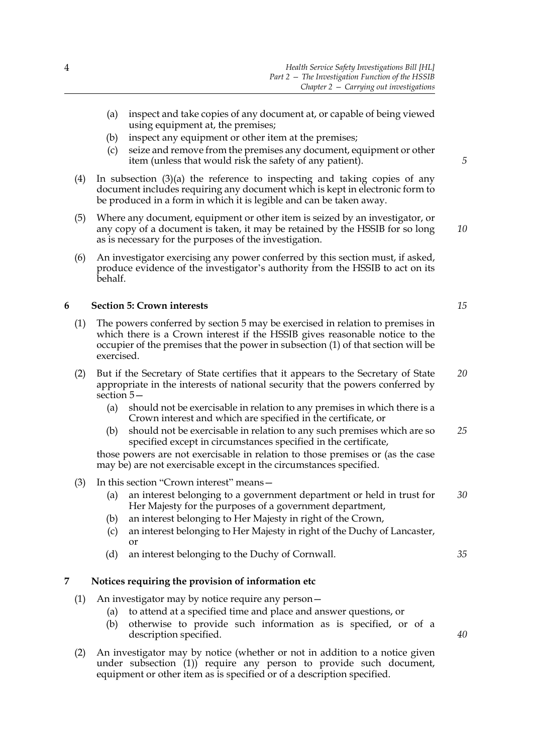- <span id="page-9-2"></span>(a) inspect and take copies of any document at, or capable of being viewed using equipment at, the premises;
- (b) inspect any equipment or other item at the premises;
- (c) seize and remove from the premises any document, equipment or other item (unless that would risk the safety of any patient).
- (4) In subsection [\(3\)](#page-8-3)[\(a\)](#page-9-2) the reference to inspecting and taking copies of any document includes requiring any document which is kept in electronic form to be produced in a form in which it is legible and can be taken away.
- (5) Where any document, equipment or other item is seized by an investigator, or any copy of a document is taken, it may be retained by the HSSIB for so long as is necessary for the purposes of the investigation.
- (6) An investigator exercising any power conferred by this section must, if asked, produce evidence of the investigator's authority from the HSSIB to act on its behalf.

## <span id="page-9-0"></span>**6 Section [5](#page-8-2): Crown interests**

- (1) The powers conferred by section [5](#page-8-2) may be exercised in relation to premises in which there is a Crown interest if the HSSIB gives reasonable notice to the occupier of the premises that the power in subsection [\(1\)](#page-8-4) of that section will be exercised.
- (2) But if the Secretary of State certifies that it appears to the Secretary of State appropriate in the interests of national security that the powers conferred by section [5](#page-8-2)—
	- (a) should not be exercisable in relation to any premises in which there is a Crown interest and which are specified in the certificate, or
	- (b) should not be exercisable in relation to any such premises which are so specified except in circumstances specified in the certificate, *25*

those powers are not exercisable in relation to those premises or (as the case may be) are not exercisable except in the circumstances specified.

- (3) In this section "Crown interest" means—
	- (a) an interest belonging to a government department or held in trust for Her Majesty for the purposes of a government department, *30*
	- (b) an interest belonging to Her Majesty in right of the Crown,
	- (c) an interest belonging to Her Majesty in right of the Duchy of Lancaster, or
	- (d) an interest belonging to the Duchy of Cornwall.

## <span id="page-9-4"></span><span id="page-9-1"></span>**7 Notices requiring the provision of information etc**

- <span id="page-9-6"></span><span id="page-9-5"></span><span id="page-9-3"></span>(1) An investigator may by notice require any person—
	- (a) to attend at a specified time and place and answer questions, or
	- (b) otherwise to provide such information as is specified, or of a description specified.
- <span id="page-9-7"></span>(2) An investigator may by notice (whether or not in addition to a notice given under subsection [\(1\)](#page-9-3)) require any person to provide such document, equipment or other item as is specified or of a description specified.

*15*

*5*

*10*

*20*

*35*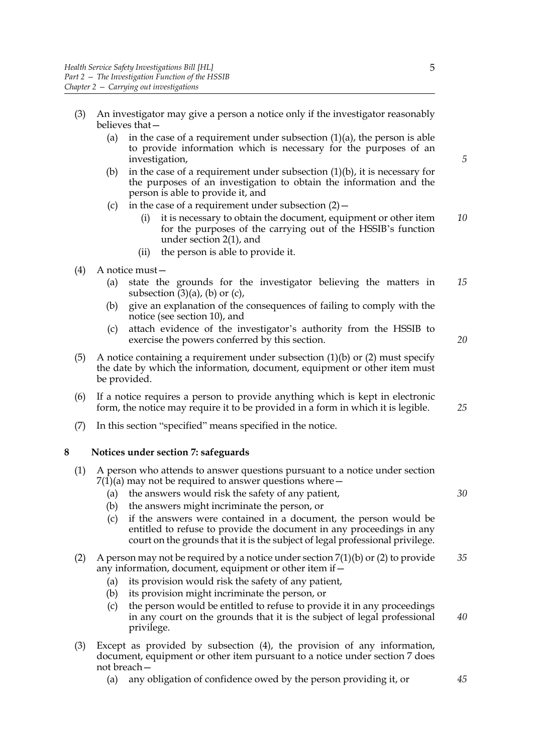- <span id="page-10-3"></span><span id="page-10-2"></span><span id="page-10-1"></span>(3) An investigator may give a person a notice only if the investigator reasonably believes that—
	- (a) in the case of a requirement under subsection  $(1)(a)$  $(1)(a)$ , the person is able to provide information which is necessary for the purposes of an investigation,
	- [\(b\)](#page-9-6) in the case of a requirement under subsection  $(1)(b)$ , it is necessary for the purposes of an investigation to obtain the information and the person is able to provide it, and
	- (c) in the case of a requirement under subsection  $(2)$  -
		- (i) it is necessary to obtain the document, equipment or other item for the purposes of the carrying out of the HSSIB's function under section [2](#page-6-3)[\(1\)](#page-6-2), and *10*
		- (ii) the person is able to provide it.
- <span id="page-10-4"></span>(4) A notice must—
	- (a) state the grounds for the investigator believing the matters in subsection  $(3)(a)$  $(3)(a)$ ,  $(b)$  or  $(c)$ , *15*
	- (b) give an explanation of the consequences of failing to comply with the notice (see section [10](#page-11-2)), and
	- (c) attach evidence of the investigator's authority from the HSSIB to exercise the powers conferred by this section.
- (5) A notice containing a requirement under subsection  $(1)(b)$  or  $(2)$  must specify the date by which the information, document, equipment or other item must be provided.
- (6) If a notice requires a person to provide anything which is kept in electronic form, the notice may require it to be provided in a form in which it is legible.
- <span id="page-10-0"></span>(7) In this section "specified" means specified in the notice.

## **8 Notices under section [7:](#page-9-4) safeguards**

- (1) A person who attends to answer questions pursuant to a notice under section  $7(1)(a)$  $7(1)(a)$  may not be required to answer questions where  $-$ 
	- (a) the answers would risk the safety of any patient,
	- (b) the answers might incriminate the person, or
	- (c) if the answers were contained in a document, the person would be entitled to refuse to provide the document in any proceedings in any court on the grounds that it is the subject of legal professional privilege.

#### (2) A person may not be required by a notice under section  $7(1)(b)$  $7(1)(b)$  or [\(2\)](#page-9-7) to provide any information, document, equipment or other item if— *35*

- (a) its provision would risk the safety of any patient,
- (b) its provision might incriminate the person, or
- (c) the person would be entitled to refuse to provide it in any proceedings in any court on the grounds that it is the subject of legal professional privilege. *40*
- (3) Except as provided by subsection [\(4\),](#page-11-3) the provision of any information, document, equipment or other item pursuant to a notice under section [7](#page-9-4) does not breach—
	- (a) any obligation of confidence owed by the person providing it, or

*20*

*25*

*30*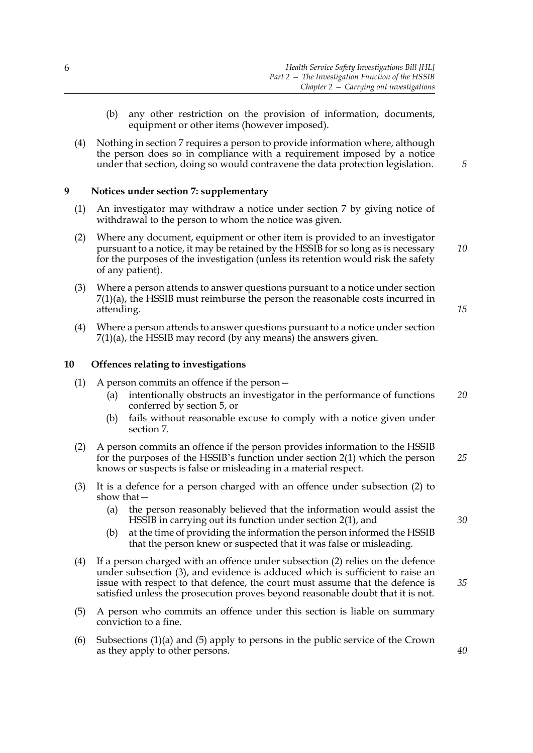- (b) any other restriction on the provision of information, documents, equipment or other items (however imposed).
- <span id="page-11-3"></span>(4) Nothing in section [7](#page-9-4) requires a person to provide information where, although the person does so in compliance with a requirement imposed by a notice under that section, doing so would contravene the data protection legislation.

## <span id="page-11-0"></span>**9 Notices under section [7:](#page-9-4) supplementary**

- (1) An investigator may withdraw a notice under section [7](#page-9-4) by giving notice of withdrawal to the person to whom the notice was given.
- (2) Where any document, equipment or other item is provided to an investigator pursuant to a notice, it may be retained by the HSSIB for so long as is necessary for the purposes of the investigation (unless its retention would risk the safety of any patient). *10*
- (3) Where a person attends to answer questions pursuant to a notice under section [7](#page-9-4)[\(1\)\(a\)](#page-9-5), the HSSIB must reimburse the person the reasonable costs incurred in attending.
- (4) Where a person attends to answer questions pursuant to a notice under section  $7(1)(a)$  $7(1)(a)$ , the HSSIB may record (by any means) the answers given.

## <span id="page-11-2"></span><span id="page-11-1"></span>**10 Offences relating to investigations**

- <span id="page-11-7"></span><span id="page-11-6"></span>(1) A person commits an offence if the person—
	- (a) intentionally obstructs an investigator in the performance of functions conferred by section [5,](#page-8-2) or *20*
	- (b) fails without reasonable excuse to comply with a notice given under section [7](#page-9-4).
- <span id="page-11-4"></span>(2) A person commits an offence if the person provides information to the HSSIB for the purposes of the HSSIB's function under section [2](#page-6-3)[\(1\)](#page-6-2) which the person knows or suspects is false or misleading in a material respect. *25*
- <span id="page-11-5"></span>(3) It is a defence for a person charged with an offence under subsection [\(2\)](#page-11-4) to show that—
	- (a) the person reasonably believed that the information would assist the HSSIB in carrying out its function under section [2](#page-6-3)[\(1\)](#page-6-2), and
	- (b) at the time of providing the information the person informed the HSSIB that the person knew or suspected that it was false or misleading.
- (4) If a person charged with an offence under subsection [\(2\)](#page-11-4) relies on the defence under subsection [\(3\)](#page-11-5), and evidence is adduced which is sufficient to raise an issue with respect to that defence, the court must assume that the defence is satisfied unless the prosecution proves beyond reasonable doubt that it is not.
- <span id="page-11-8"></span>(5) A person who commits an offence under this section is liable on summary conviction to a fine.
- (6) Subsections [\(1\)](#page-11-6)[\(a\)](#page-11-7) and [\(5\)](#page-11-8) apply to persons in the public service of the Crown as they apply to other persons.

*5*

*15*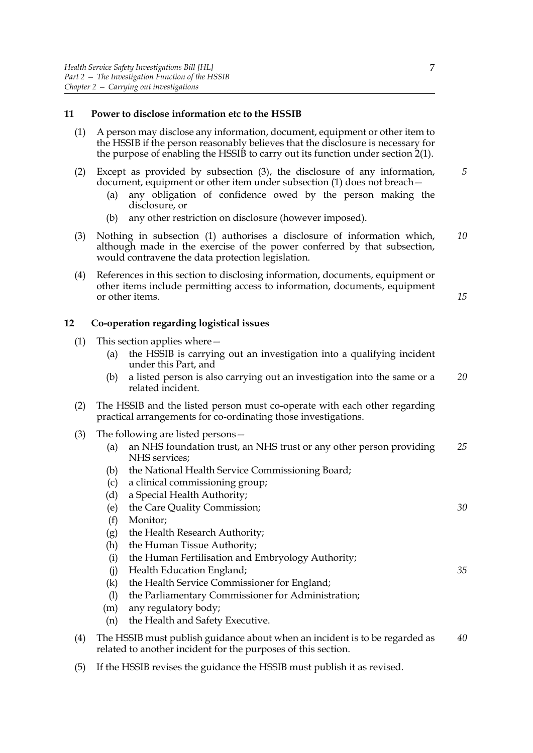## <span id="page-12-0"></span>**11 Power to disclose information etc to the HSSIB**

- <span id="page-12-4"></span>(1) A person may disclose any information, document, equipment or other item to the HSSIB if the person reasonably believes that the disclosure is necessary for the purpose of enabling the HSSIB to carry out its function under section [2](#page-6-3)[\(1\).](#page-6-2)
- (2) Except as provided by subsection [\(3\)](#page-12-3), the disclosure of any information, document, equipment or other item under subsection [\(1\)](#page-12-4) does not breach— *5*
	- (a) any obligation of confidence owed by the person making the disclosure, or
	- (b) any other restriction on disclosure (however imposed).
- <span id="page-12-3"></span>(3) Nothing in subsection [\(1\)](#page-12-4) authorises a disclosure of information which, although made in the exercise of the power conferred by that subsection, would contravene the data protection legislation. *10*
- (4) References in this section to disclosing information, documents, equipment or other items include permitting access to information, documents, equipment or other items.

## <span id="page-12-2"></span><span id="page-12-1"></span>**12 Co-operation regarding logistical issues**

- (1) This section applies where—
	- (a) the HSSIB is carrying out an investigation into a qualifying incident under this Part, and
	- (b) a listed person is also carrying out an investigation into the same or a related incident. *20*
- (2) The HSSIB and the listed person must co-operate with each other regarding practical arrangements for co-ordinating those investigations.
- <span id="page-12-6"></span><span id="page-12-5"></span>(3) The following are listed persons—
	- (a) an NHS foundation trust, an NHS trust or any other person providing NHS services; *25*
	- (b) the National Health Service Commissioning Board;
	- (c) a clinical commissioning group;
	- (d) a Special Health Authority;
	- (e) the Care Quality Commission;
	- (f) Monitor;
	- (g) the Health Research Authority;
	- (h) the Human Tissue Authority;
	- (i) the Human Fertilisation and Embryology Authority;
	- (j) Health Education England;
	- (k) the Health Service Commissioner for England;
	- (l) the Parliamentary Commissioner for Administration;
	- (m) any regulatory body;
	- (n) the Health and Safety Executive.
- (4) The HSSIB must publish guidance about when an incident is to be regarded as related to another incident for the purposes of this section. *40*
- (5) If the HSSIB revises the guidance the HSSIB must publish it as revised.

*15*

*30*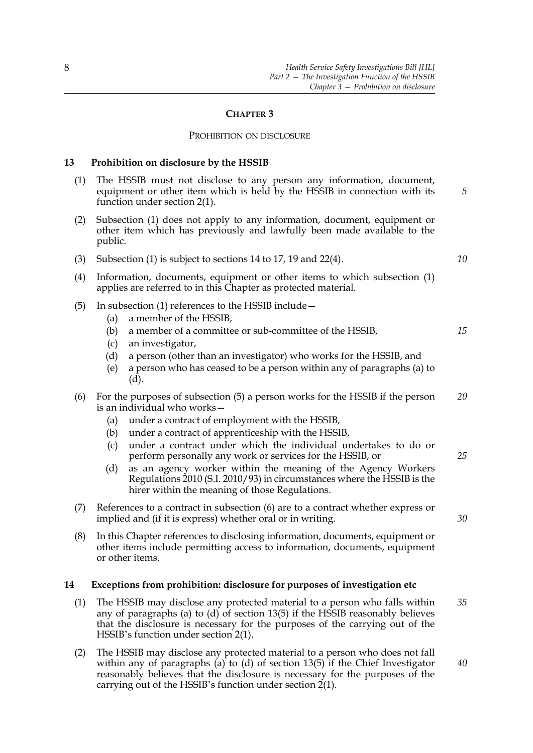#### **CHAPTER 3**

#### PROHIBITION ON DISCLOSURE

#### <span id="page-13-3"></span><span id="page-13-0"></span>**13 Prohibition on disclosure by the HSSIB**

- <span id="page-13-4"></span>(1) The HSSIB must not disclose to any person any information, document, equipment or other item which is held by the HSSIB in connection with its function under section [2\(](#page-6-3)1).
- (2) Subsection [\(1\)](#page-13-4) does not apply to any information, document, equipment or other item which has previously and lawfully been made available to the public.
- (3) Subsection [\(1\)](#page-13-4) is subject to sections [14](#page-13-2) to [17](#page-14-4), [19](#page-15-2) and [22](#page-17-2)[\(4\)](#page-17-3).
- (4) Information, documents, equipment or other items to which subsection [\(1\)](#page-13-4) applies are referred to in this Chapter as protected material.
- <span id="page-13-7"></span><span id="page-13-5"></span>(5) In subsection [\(1\)](#page-13-4) references to the HSSIB include—
	- (a) a member of the HSSIB,
	- (b) a member of a committee or sub-committee of the HSSIB,
	- (c) an investigator,
	- (d) a person (other than an investigator) who works for the HSSIB, and
	- (e) a person who has ceased to be a person within any of paragraphs [\(a\)](#page-13-5) to [\(d\).](#page-13-6)
- <span id="page-13-8"></span><span id="page-13-6"></span>(6) For the purposes of subsection [\(5\)](#page-13-7) a person works for the HSSIB if the person is an individual who works— *20*
	- (a) under a contract of employment with the HSSIB,
	- (b) under a contract of apprenticeship with the HSSIB,
	- (c) under a contract under which the individual undertakes to do or perform personally any work or services for the HSSIB, or
	- (d) as an agency worker within the meaning of the Agency Workers Regulations 2010 (S.I. 2010/93) in circumstances where the HSSIB is the hirer within the meaning of those Regulations.
- (7) References to a contract in subsection [\(6\)](#page-13-8) are to a contract whether express or implied and (if it is express) whether oral or in writing.
- (8) In this Chapter references to disclosing information, documents, equipment or other items include permitting access to information, documents, equipment or other items.

## <span id="page-13-2"></span><span id="page-13-1"></span>**14 Exceptions from prohibition: disclosure for purposes of investigation etc**

- (1) The HSSIB may disclose any protected material to a person who falls within any of paragraphs (a) to  $(d)$  of section [13](#page-13-3)[\(5\)](#page-13-7) if the HSSIB reasonably believes that the disclosure is necessary for the purposes of the carrying out of the HSSIB's function under section [2\(](#page-6-3)1). *35*
- <span id="page-13-9"></span>(2) The HSSIB may disclose any protected material to a person who does not fall within any of paragraphs (a) to (d) of section  $13(5)$  $13(5)$  if the Chief Investigator reasonably believes that the disclosure is necessary for the purposes of the carrying out of the HSSIB's function under section [2\(](#page-6-3)1). *40*

*10*

*15*

*25*

*30*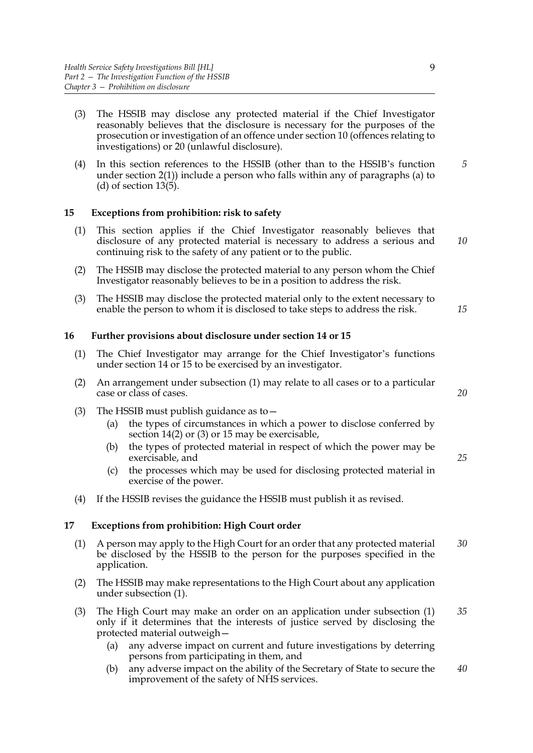- <span id="page-14-6"></span>(3) The HSSIB may disclose any protected material if the Chief Investigator reasonably believes that the disclosure is necessary for the purposes of the prosecution or investigation of an offence under section [10](#page-11-2) (offences relating to investigations) or [20](#page-16-1) (unlawful disclosure).
- (4) In this section references to the HSSIB (other than to the HSSIB's function under section [2\(](#page-6-3)1)) include a person who falls within any of paragraphs (a) to (d) of section [13](#page-13-3)[\(5\).](#page-13-7) *5*

## <span id="page-14-3"></span><span id="page-14-0"></span>**15 Exceptions from prohibition: risk to safety**

- (1) This section applies if the Chief Investigator reasonably believes that disclosure of any protected material is necessary to address a serious and continuing risk to the safety of any patient or to the public. *10*
- (2) The HSSIB may disclose the protected material to any person whom the Chief Investigator reasonably believes to be in a position to address the risk.
- (3) The HSSIB may disclose the protected material only to the extent necessary to enable the person to whom it is disclosed to take steps to address the risk. *15*

#### <span id="page-14-1"></span>**16 Further provisions about disclosure under section [14](#page-13-2) or [15](#page-14-3)**

- <span id="page-14-5"></span>(1) The Chief Investigator may arrange for the Chief Investigator's functions under section [14](#page-13-2) or [15](#page-14-3) to be exercised by an investigator.
- (2) An arrangement under subsection [\(1\)](#page-14-5) may relate to all cases or to a particular case or class of cases.
- (3) The HSSIB must publish guidance as to  $-$ 
	- (a) the types of circumstances in which a power to disclose conferred by section [14](#page-13-2)[\(2\)](#page-13-9) or [\(3\)](#page-14-6) or [15](#page-14-3) may be exercisable,
	- (b) the types of protected material in respect of which the power may be exercisable, and
	- (c) the processes which may be used for disclosing protected material in exercise of the power.
- <span id="page-14-2"></span>(4) If the HSSIB revises the guidance the HSSIB must publish it as revised.

## <span id="page-14-4"></span>**17 Exceptions from prohibition: High Court order**

- <span id="page-14-7"></span>(1) A person may apply to the High Court for an order that any protected material be disclosed by the HSSIB to the person for the purposes specified in the application. *30*
- (2) The HSSIB may make representations to the High Court about any application under subsection [\(1\).](#page-14-7)
- (3) The High Court may make an order on an application under subsection [\(1\)](#page-14-7) only if it determines that the interests of justice served by disclosing the protected material outweigh— *35*
	- (a) any adverse impact on current and future investigations by deterring persons from participating in them, and
	- (b) any adverse impact on the ability of the Secretary of State to secure the improvement of the safety of NHS services. *40*

*20*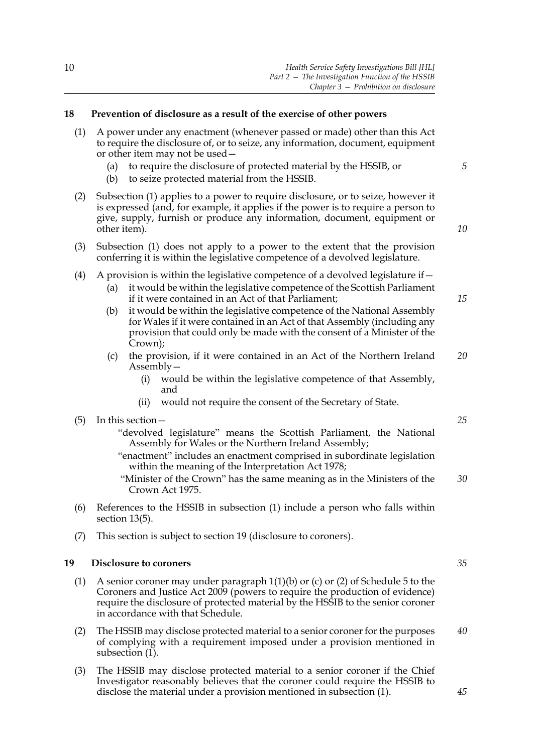## <span id="page-15-5"></span><span id="page-15-0"></span>**18 Prevention of disclosure as a result of the exercise of other powers**

- <span id="page-15-3"></span>(1) A power under any enactment (whenever passed or made) other than this Act to require the disclosure of, or to seize, any information, document, equipment or other item may not be used—
	- (a) to require the disclosure of protected material by the HSSIB, or
	- (b) to seize protected material from the HSSIB.
- (2) Subsection [\(1\)](#page-15-3) applies to a power to require disclosure, or to seize, however it is expressed (and, for example, it applies if the power is to require a person to give, supply, furnish or produce any information, document, equipment or other item).

*10*

*15*

*25*

*5*

- (3) Subsection (1) does not apply to a power to the extent that the provision conferring it is within the legislative competence of a devolved legislature.
- (4) A provision is within the legislative competence of a devolved legislature if  $-$ 
	- (a) it would be within the legislative competence of the Scottish Parliament if it were contained in an Act of that Parliament;
	- (b) it would be within the legislative competence of the National Assembly for Wales if it were contained in an Act of that Assembly (including any provision that could only be made with the consent of a Minister of the Crown);
	- (c) the provision, if it were contained in an Act of the Northern Ireland Assembly— *20*
		- (i) would be within the legislative competence of that Assembly, and
		- (ii) would not require the consent of the Secretary of State.

## (5) In this section—

- "devolved legislature" means the Scottish Parliament, the National Assembly for Wales or the Northern Ireland Assembly;
- "enactment" includes an enactment comprised in subordinate legislation within the meaning of the Interpretation Act 1978;
- "Minister of the Crown" has the same meaning as in the Ministers of the Crown Act 1975. *30*
- (6) References to the HSSIB in subsection [\(1\)](#page-15-3) include a person who falls within section [13](#page-13-3)[\(5\)](#page-13-7).
- <span id="page-15-1"></span>(7) This section is subject to section [19](#page-15-2) (disclosure to coroners).

## <span id="page-15-2"></span>**19 Disclosure to coroners**

- (1) A senior coroner may under paragraph 1(1)(b) or (c) or (2) of Schedule 5 to the Coroners and Justice Act 2009 (powers to require the production of evidence) require the disclosure of protected material by the HSSIB to the senior coroner in accordance with that Schedule.
- (2) The HSSIB may disclose protected material to a senior coroner for the purposes of complying with a requirement imposed under a provision mentioned in subsection  $(1)$ .
- <span id="page-15-4"></span>(3) The HSSIB may disclose protected material to a senior coroner if the Chief Investigator reasonably believes that the coroner could require the HSSIB to disclose the material under a provision mentioned in subsection [\(1\)](#page-15-3).

*35*

*45*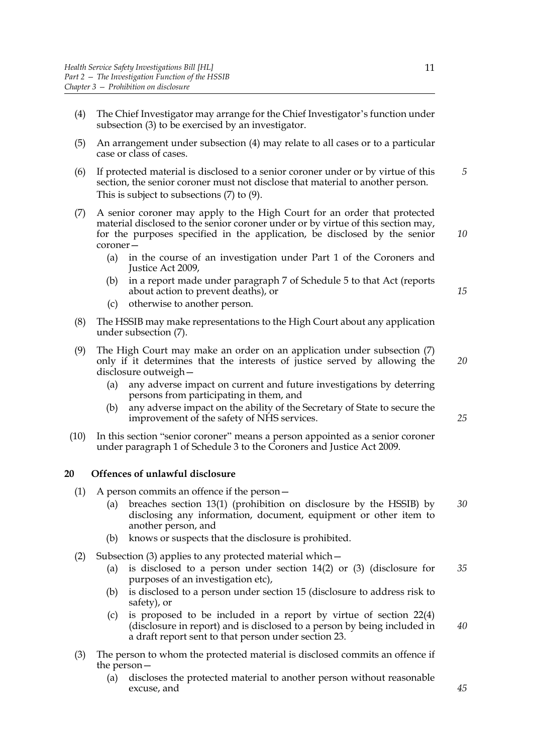- <span id="page-16-2"></span>(4) The Chief Investigator may arrange for the Chief Investigator's function under subsection [\(3\)](#page-15-4) to be exercised by an investigator.
- (5) An arrangement under subsection [\(4\)](#page-16-2) may relate to all cases or to a particular case or class of cases.
- (6) If protected material is disclosed to a senior coroner under or by virtue of this section, the senior coroner must not disclose that material to another person. This is subject to subsections [\(7\)](#page-16-3) to [\(9\)](#page-16-4). *5*
- <span id="page-16-3"></span>(7) A senior coroner may apply to the High Court for an order that protected material disclosed to the senior coroner under or by virtue of this section may, for the purposes specified in the application, be disclosed by the senior coroner—
	- (a) in the course of an investigation under Part 1 of the Coroners and Justice Act 2009,
	- (b) in a report made under paragraph 7 of Schedule 5 to that Act (reports about action to prevent deaths), or
	- (c) otherwise to another person.
- (8) The HSSIB may make representations to the High Court about any application under subsection [\(7\).](#page-16-3)
- <span id="page-16-4"></span>(9) The High Court may make an order on an application under subsection [\(7\)](#page-16-3) only if it determines that the interests of justice served by allowing the disclosure outweigh— *20*
	- (a) any adverse impact on current and future investigations by deterring persons from participating in them, and
	- (b) any adverse impact on the ability of the Secretary of State to secure the improvement of the safety of NHS services.
- (10) In this section "senior coroner" means a person appointed as a senior coroner under paragraph 1 of Schedule 3 to the Coroners and Justice Act 2009.

## <span id="page-16-1"></span><span id="page-16-0"></span>**20 Offences of unlawful disclosure**

- (1) A person commits an offence if the person—
	- (a) breaches section [13](#page-13-3)[\(1\)](#page-13-4) (prohibition on disclosure by the HSSIB) by disclosing any information, document, equipment or other item to another person, and *30*
	- (b) knows or suspects that the disclosure is prohibited.
- (2) Subsection [\(3\)](#page-16-5) applies to any protected material which—
	- (a) is disclosed to a person under section [14](#page-13-2)[\(2\)](#page-13-9) or [\(3\)](#page-14-6) (disclosure for purposes of an investigation etc), *35*
	- (b) is disclosed to a person under section [15](#page-14-3) (disclosure to address risk to safety), or
	- (c) is proposed to be included in a report by virtue of section [22](#page-17-2)[\(4\)](#page-17-3) (disclosure in report) and is disclosed to a person by being included in a draft report sent to that person under section [23](#page-18-3). *40*
- <span id="page-16-5"></span>(3) The person to whom the protected material is disclosed commits an offence if the person—
	- (a) discloses the protected material to another person without reasonable excuse, and

*25*

*10*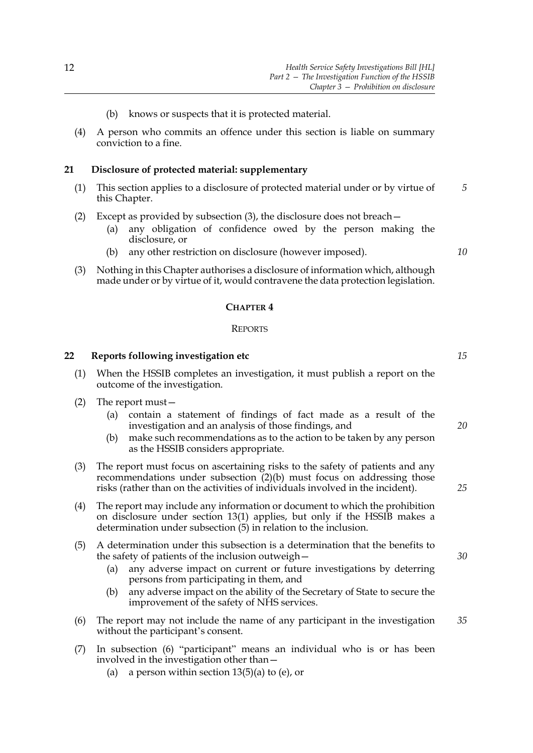- (b) knows or suspects that it is protected material.
- (4) A person who commits an offence under this section is liable on summary conviction to a fine.

## <span id="page-17-0"></span>**21 Disclosure of protected material: supplementary**

- (1) This section applies to a disclosure of protected material under or by virtue of this Chapter. *5*
- (2) Except as provided by subsection [\(3\),](#page-17-4) the disclosure does not breach—
	- (a) any obligation of confidence owed by the person making the disclosure, or
	- (b) any other restriction on disclosure (however imposed).
- <span id="page-17-4"></span>(3) Nothing in this Chapter authorises a disclosure of information which, although made under or by virtue of it, would contravene the data protection legislation.

#### **CHAPTER 4**

#### **REPORTS**

## <span id="page-17-2"></span><span id="page-17-1"></span>**22 Reports following investigation etc**

- (1) When the HSSIB completes an investigation, it must publish a report on the outcome of the investigation.
- <span id="page-17-5"></span>(2) The report must—
	- (a) contain a statement of findings of fact made as a result of the investigation and an analysis of those findings, and
	- (b) make such recommendations as to the action to be taken by any person as the HSSIB considers appropriate.
- <span id="page-17-9"></span><span id="page-17-6"></span>(3) The report must focus on ascertaining risks to the safety of patients and any recommendations under subsection [\(2\)](#page-17-5)[\(b\)](#page-17-6) must focus on addressing those risks (rather than on the activities of individuals involved in the incident).
- <span id="page-17-3"></span>(4) The report may include any information or document to which the prohibition on disclosure under section [13](#page-13-3)[\(1\)](#page-13-4) applies, but only if the HSSIB makes a determination under subsection [\(5\)](#page-17-7) in relation to the inclusion.
- <span id="page-17-7"></span>(5) A determination under this subsection is a determination that the benefits to the safety of patients of the inclusion outweigh—
	- (a) any adverse impact on current or future investigations by deterring persons from participating in them, and
	- (b) any adverse impact on the ability of the Secretary of State to secure the improvement of the safety of NHS services.
- <span id="page-17-8"></span>(6) The report may not include the name of any participant in the investigation without the participant's consent. *35*
- (7) In subsection [\(6\)](#page-17-8) "participant" means an individual who is or has been involved in the investigation other than—
	- (a) a person within section  $13(5)$  $13(5)$ (a) to (e), or

*15*

*10*

*20*

*30*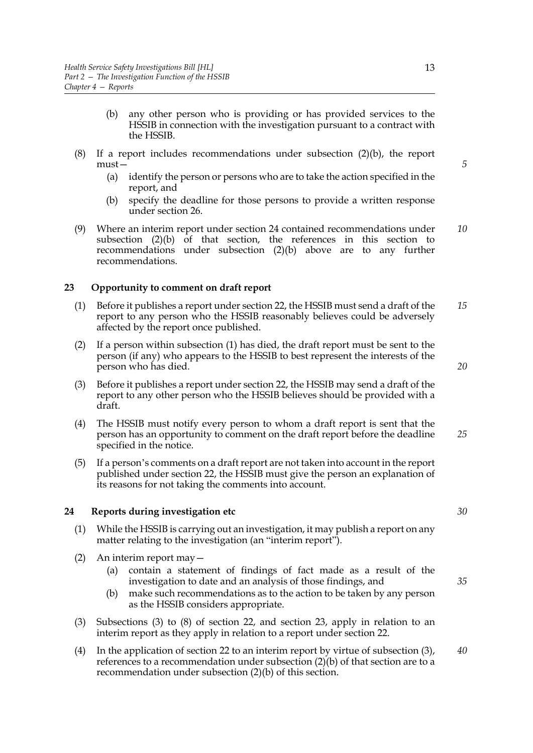- (b) any other person who is providing or has provided services to the HSSIB in connection with the investigation pursuant to a contract with the HSSIB.
- <span id="page-18-10"></span><span id="page-18-7"></span>(8) If a report includes recommendations under subsection [\(2\)](#page-17-5)[\(b\)](#page-17-6), the report must—
	- (a) identify the person or persons who are to take the action specified in the report, and
	- (b) specify the deadline for those persons to provide a written response under section [26.](#page-19-3)
- <span id="page-18-9"></span>(9) Where an interim report under section [24](#page-18-2) contained recommendations under subsection  $(2)(b)$  $(2)(b)$  of that section, the references in this section to recommendations under subsection [\(2\)](#page-17-5)[\(b\)](#page-17-6) above are to any further recommendations. *10*

## <span id="page-18-3"></span><span id="page-18-0"></span>**23 Opportunity to comment on draft report**

- <span id="page-18-6"></span>(1) Before it publishes a report under section [22,](#page-17-2) the HSSIB must send a draft of the report to any person who the HSSIB reasonably believes could be adversely affected by the report once published. *15*
- (2) If a person within subsection [\(1\)](#page-18-6) has died, the draft report must be sent to the person (if any) who appears to the HSSIB to best represent the interests of the person who has died.
- (3) Before it publishes a report under section [22](#page-17-2), the HSSIB may send a draft of the report to any other person who the HSSIB believes should be provided with a draft.
- (4) The HSSIB must notify every person to whom a draft report is sent that the person has an opportunity to comment on the draft report before the deadline specified in the notice. *25*
- (5) If a person's comments on a draft report are not taken into account in the report published under section [22](#page-17-2), the HSSIB must give the person an explanation of its reasons for not taking the comments into account.

## <span id="page-18-2"></span><span id="page-18-1"></span>**24 Reports during investigation etc**

- (1) While the HSSIB is carrying out an investigation, it may publish a report on any matter relating to the investigation (an "interim report").
- <span id="page-18-4"></span>(2) An interim report may—
	- (a) contain a statement of findings of fact made as a result of the investigation to date and an analysis of those findings, and
	- (b) make such recommendations as to the action to be taken by any person as the HSSIB considers appropriate.
- <span id="page-18-8"></span><span id="page-18-5"></span>(3) Subsections [\(3\)](#page-17-9) to [\(8\)](#page-18-7) of section [22,](#page-17-2) and section [23](#page-18-3), apply in relation to an interim report as they apply in relation to a report under section [22.](#page-17-2)
- (4) In the application of section [22](#page-17-2) to an interim report by virtue of subsection [\(3\)](#page-18-8), references to a recommendation under subsection  $(2)(b)$  of that section are to a recommendation under subsection [\(2\)](#page-18-4)[\(b\)](#page-18-5) of this section. *40*

*5*

*30*

*35*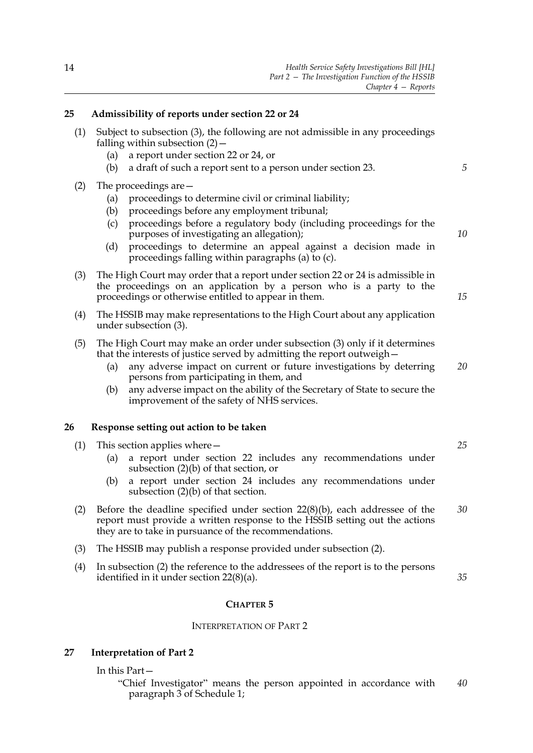## <span id="page-19-9"></span><span id="page-19-0"></span>**25 Admissibility of reports under section [22](#page-17-2) or [24](#page-18-2)**

- (1) Subject to subsection [\(3\),](#page-19-4) the following are not admissible in any proceedings falling within subsection  $(2)$  –
	- (a) a report under section [22](#page-17-2) or [24,](#page-18-2) or
	- (b) a draft of such a report sent to a person under section [23.](#page-18-3)
- <span id="page-19-7"></span><span id="page-19-6"></span><span id="page-19-5"></span>(2) The proceedings are—
	- (a) proceedings to determine civil or criminal liability;
	- (b) proceedings before any employment tribunal;
	- (c) proceedings before a regulatory body (including proceedings for the purposes of investigating an allegation);
	- (d) proceedings to determine an appeal against a decision made in proceedings falling within paragraphs [\(a\)](#page-19-6) to [\(c\)](#page-19-7).
- <span id="page-19-4"></span>(3) The High Court may order that a report under section [22](#page-17-2) or [24](#page-18-2) is admissible in the proceedings on an application by a person who is a party to the proceedings or otherwise entitled to appear in them.
- (4) The HSSIB may make representations to the High Court about any application under subsection [\(3\).](#page-19-4)
- (5) The High Court may make an order under subsection [\(3\)](#page-19-4) only if it determines that the interests of justice served by admitting the report outweigh—
	- (a) any adverse impact on current or future investigations by deterring persons from participating in them, and *20*
	- (b) any adverse impact on the ability of the Secretary of State to secure the improvement of the safety of NHS services.

## <span id="page-19-3"></span><span id="page-19-1"></span>**26 Response setting out action to be taken**

- (1) This section applies where—
	- (a) a report under section [22](#page-17-2) includes any recommendations under subsection [\(2\)](#page-17-5)[\(b\)](#page-17-6) of that section, or
	- (b) a report under section [24](#page-18-2) includes any recommendations under subsection [\(2\)](#page-18-4)[\(b\)](#page-18-5) of that section.
- <span id="page-19-8"></span>(2) Before the deadline specified under section [22](#page-17-2)[\(8\)](#page-18-7)[\(b\),](#page-18-9) each addressee of the report must provide a written response to the HSSIB setting out the actions they are to take in pursuance of the recommendations. *30*
- (3) The HSSIB may publish a response provided under subsection [\(2\)](#page-19-8).
- (4) In subsection [\(2\)](#page-19-8) the reference to the addressees of the report is to the persons identified in it under section [22](#page-17-2)[\(8\)](#page-18-7)[\(a\)](#page-18-10).

## **CHAPTER 5**

## INTERPRETATION OF PART 2

## **27 Interpretation of Part 2**

<span id="page-19-2"></span>In this Part—

"Chief Investigator" means the person appointed in accordance with paragraph [3](#page-27-1) of Schedule [1;](#page-27-0) *40*

*15*

*25*

*35*

*10*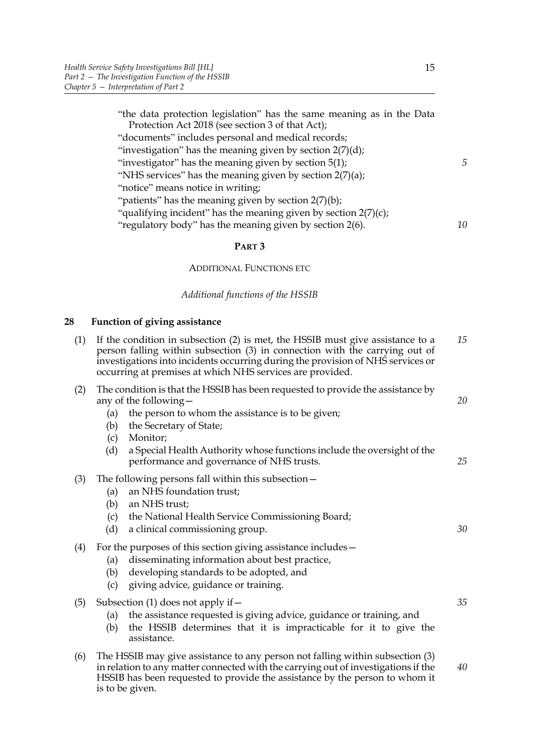| "the data protection legislation" has the same meaning as in the Data<br>Protection Act 2018 (see section 3 of that Act); |    |
|---------------------------------------------------------------------------------------------------------------------------|----|
| "documents" includes personal and medical records;                                                                        |    |
| "investigation" has the meaning given by section $2(7)(d)$ ;                                                              |    |
| "investigator" has the meaning given by section $5(1)$ ;                                                                  | 5  |
| "NHS services" has the meaning given by section 2(7)(a);                                                                  |    |
| "notice" means notice in writing;                                                                                         |    |
| "patients" has the meaning given by section $2(7)(b)$ ;                                                                   |    |
| "qualifying incident" has the meaning given by section $2(7)(c)$ ;                                                        |    |
| "regulatory body" has the meaning given by section 2(6).                                                                  | 10 |
|                                                                                                                           |    |

## **PART 3**

## ADDITIONAL FUNCTIONS ETC

*Additional functions of the HSSIB*

## <span id="page-20-5"></span><span id="page-20-0"></span>**28 Function of giving assistance**

<span id="page-20-4"></span>is to be given.

<span id="page-20-7"></span><span id="page-20-6"></span><span id="page-20-3"></span><span id="page-20-2"></span><span id="page-20-1"></span>

| (1) | If the condition in subsection (2) is met, the HSSIB must give assistance to a<br>person falling within subsection (3) in connection with the carrying out of<br>investigations into incidents occurring during the provision of NHS services or<br>occurring at premises at which NHS services are provided.                                            | 15       |
|-----|----------------------------------------------------------------------------------------------------------------------------------------------------------------------------------------------------------------------------------------------------------------------------------------------------------------------------------------------------------|----------|
| (2) | The condition is that the HSSIB has been requested to provide the assistance by<br>any of the following-<br>the person to whom the assistance is to be given;<br>(a)<br>the Secretary of State;<br>(b)<br>Monitor;<br>(c)<br>(d)<br>a Special Health Authority whose functions include the oversight of the<br>performance and governance of NHS trusts. | 20<br>25 |
| (3) | The following persons fall within this subsection-<br>an NHS foundation trust;<br>(a)<br>an NHS trust;<br>(b)<br>(c)<br>the National Health Service Commissioning Board;<br>(d)<br>a clinical commissioning group.                                                                                                                                       | 30       |
| (4) | For the purposes of this section giving assistance includes-<br>disseminating information about best practice,<br>(a)<br>developing standards to be adopted, and<br>(b)<br>giving advice, guidance or training.<br>(c)                                                                                                                                   |          |
| (5) | Subsection (1) does not apply if $-$<br>the assistance requested is giving advice, guidance or training, and<br>(a)<br>the HSSIB determines that it is impracticable for it to give the<br>(b)<br>assistance.                                                                                                                                            | 35       |
| (6) | The HSSIB may give assistance to any person not falling within subsection (3)<br>in relation to any matter connected with the carrying out of investigations if the<br>HSSIB has been requested to provide the assistance by the person to whom it                                                                                                       | 40       |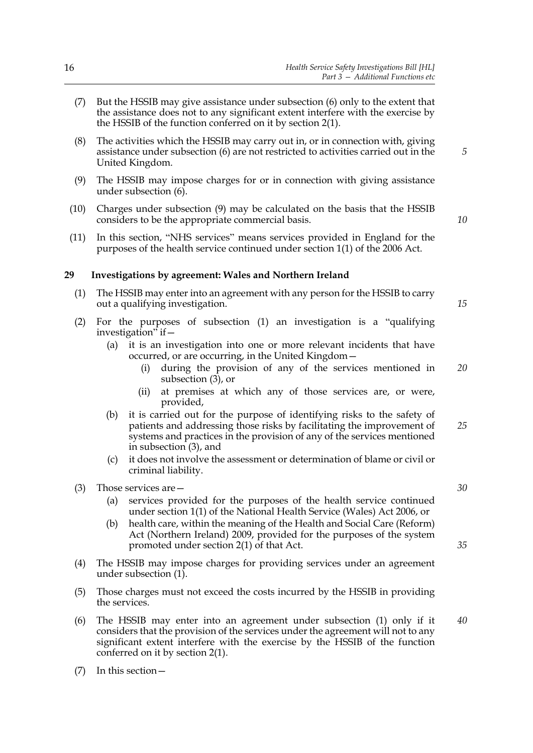- (7) But the HSSIB may give assistance under subsection [\(6\)](#page-20-4) only to the extent that the assistance does not to any significant extent interfere with the exercise by the HSSIB of the function conferred on it by section [2](#page-6-3)[\(1\).](#page-6-2)
- (8) The activities which the HSSIB may carry out in, or in connection with, giving assistance under subsection [\(6\)](#page-20-4) are not restricted to activities carried out in the United Kingdom.
- <span id="page-21-5"></span><span id="page-21-1"></span>(9) The HSSIB may impose charges for or in connection with giving assistance under subsection [\(6\).](#page-20-4)
- (10) Charges under subsection [\(9\)](#page-21-1) may be calculated on the basis that the HSSIB considers to be the appropriate commercial basis.
- (11) In this section, "NHS services" means services provided in England for the purposes of the health service continued under section 1(1) of the 2006 Act.

#### <span id="page-21-4"></span><span id="page-21-0"></span>**29 Investigations by agreement: Wales and Northern Ireland**

- <span id="page-21-2"></span>(1) The HSSIB may enter into an agreement with any person for the HSSIB to carry out a qualifying investigation.
- (2) For the purposes of subsection [\(1\)](#page-21-2) an investigation is a "qualifying investigation" if—
	- (a) it is an investigation into one or more relevant incidents that have occurred, or are occurring, in the United Kingdom
		- during the provision of any of the services mentioned in subsection  $(3)$ , or *20*
		- (ii) at premises at which any of those services are, or were, provided,
	- (b) it is carried out for the purpose of identifying risks to the safety of patients and addressing those risks by facilitating the improvement of systems and practices in the provision of any of the services mentioned in subsection [\(3\)](#page-21-3), and *25*
	- (c) it does not involve the assessment or determination of blame or civil or criminal liability.
- <span id="page-21-3"></span>(3) Those services are—
	- (a) services provided for the purposes of the health service continued under section 1(1) of the National Health Service (Wales) Act 2006, or
	- (b) health care, within the meaning of the Health and Social Care (Reform) Act (Northern Ireland) 2009, provided for the purposes of the system promoted under section 2(1) of that Act.
- <span id="page-21-6"></span>(4) The HSSIB may impose charges for providing services under an agreement under subsection [\(1\).](#page-21-2)
- (5) Those charges must not exceed the costs incurred by the HSSIB in providing the services.
- (6) The HSSIB may enter into an agreement under subsection [\(1\)](#page-21-2) only if it considers that the provision of the services under the agreement will not to any significant extent interfere with the exercise by the HSSIB of the function conferred on it by section [2](#page-6-3)[\(1\)](#page-6-2).
- (7) In this section—

*30*

*35*

*5*

*10*

*15*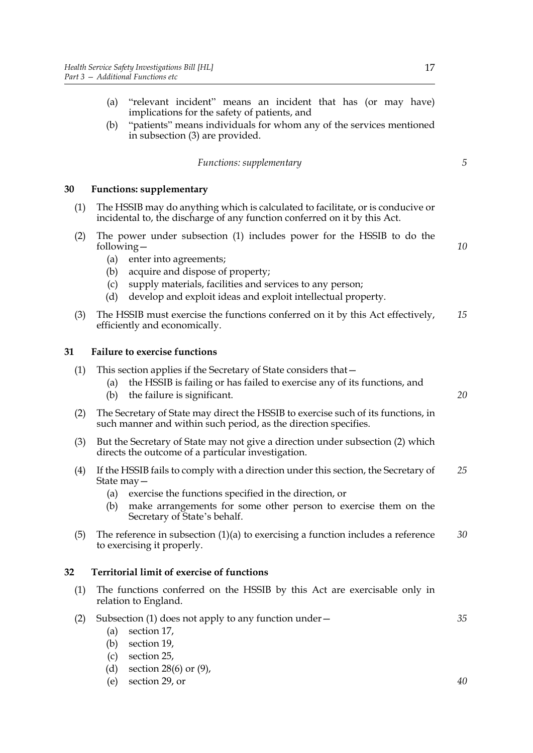- (a) "relevant incident" means an incident that has (or may have) implications for the safety of patients, and
- (b) "patients" means individuals for whom any of the services mentioned in subsection [\(3\)](#page-21-3) are provided.

*Functions: supplementary*

## <span id="page-22-5"></span><span id="page-22-0"></span>**30 Functions: supplementary**

- <span id="page-22-3"></span>(1) The HSSIB may do anything which is calculated to facilitate, or is conducive or incidental to, the discharge of any function conferred on it by this Act.
- (2) The power under subsection [\(1\)](#page-22-3) includes power for the HSSIB to do the following—
	- (a) enter into agreements;
	- (b) acquire and dispose of property;
	- (c) supply materials, facilities and services to any person;
	- (d) develop and exploit ideas and exploit intellectual property.
- (3) The HSSIB must exercise the functions conferred on it by this Act effectively, efficiently and economically. *15*

## <span id="page-22-1"></span>**31 Failure to exercise functions**

<span id="page-22-4"></span>

| (1) | This section applies if the Secretary of State considers that -<br>the HSSIB is failing or has failed to exercise any of its functions, and<br>(a)<br>the failure is significant.<br>(b)                                                                                      | 20 |
|-----|-------------------------------------------------------------------------------------------------------------------------------------------------------------------------------------------------------------------------------------------------------------------------------|----|
| (2) | The Secretary of State may direct the HSSIB to exercise such of its functions, in<br>such manner and within such period, as the direction specifies.                                                                                                                          |    |
| (3) | But the Secretary of State may not give a direction under subsection (2) which<br>directs the outcome of a particular investigation.                                                                                                                                          |    |
| (4) | If the HSSIB fails to comply with a direction under this section, the Secretary of<br>State $may -$<br>exercise the functions specified in the direction, or<br>(a)<br>make arrangements for some other person to exercise them on the<br>(b)<br>Secretary of State's behalf. | 25 |
| (5) | The reference in subsection $(1)(a)$ to exercising a function includes a reference<br>to exercising it properly.                                                                                                                                                              | 30 |
| 32  | <b>Territorial limit of exercise of functions</b>                                                                                                                                                                                                                             |    |
| (1) | The functions conferred on the HSSIB by this Act are exercisable only in<br>relation to England.                                                                                                                                                                              |    |
| (2) | Subsection $(1)$ does not apply to any function under $-$<br>section 17,<br>(a)<br>section 19,<br>(b)<br>section 25,<br>(c)<br>section 28(6) or $(9)$ ,<br>(d)                                                                                                                | 35 |

<span id="page-22-2"></span>(e) section [29,](#page-21-4) or

*5*

*10*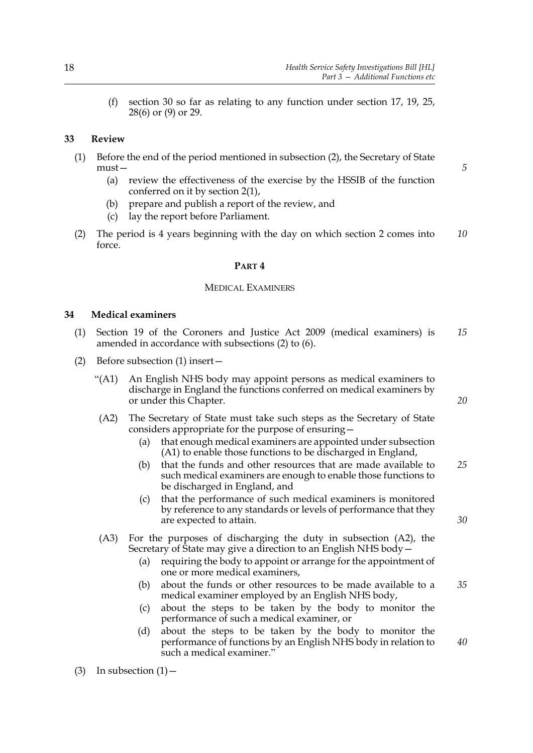(f) section [30](#page-22-5) so far as relating to any function under section [17,](#page-14-4) [19](#page-15-2), [25](#page-19-9), [28](#page-20-5)[\(6\)](#page-20-4) or [\(9\)](#page-21-1) or [29](#page-21-4).

## <span id="page-23-0"></span>**33 Review**

- (1) Before the end of the period mentioned in subsection [\(2\)](#page-23-2), the Secretary of State must—
	- (a) review the effectiveness of the exercise by the HSSIB of the function conferred on it by section [2](#page-6-3)[\(1\)](#page-6-2),
	- (b) prepare and publish a report of the review, and
	- (c) lay the report before Parliament.
- <span id="page-23-2"></span>(2) The period is 4 years beginning with the day on which section [2](#page-6-3) comes into force. *10*

#### **PART 4**

## MEDICAL EXAMINERS

#### <span id="page-23-1"></span>**34 Medical examiners**

- (1) Section 19 of the Coroners and Justice Act 2009 (medical examiners) is amended in accordance with subsections [\(2\)](#page-23-3) to [\(6\)](#page-24-1). *15*
- <span id="page-23-3"></span>(2) Before subsection (1) insert—
	- "(A1) An English NHS body may appoint persons as medical examiners to discharge in England the functions conferred on medical examiners by or under this Chapter.
	- (A2) The Secretary of State must take such steps as the Secretary of State considers appropriate for the purpose of ensuring—
		- (a) that enough medical examiners are appointed under subsection (A1) to enable those functions to be discharged in England,
		- (b) that the funds and other resources that are made available to such medical examiners are enough to enable those functions to be discharged in England, and *25*
		- (c) that the performance of such medical examiners is monitored by reference to any standards or levels of performance that they are expected to attain.
	- (A3) For the purposes of discharging the duty in subsection (A2), the Secretary of State may give a direction to an English NHS body  $-$ 
		- (a) requiring the body to appoint or arrange for the appointment of one or more medical examiners,
		- (b) about the funds or other resources to be made available to a medical examiner employed by an English NHS body,
		- (c) about the steps to be taken by the body to monitor the performance of such a medical examiner, or
		- (d) about the steps to be taken by the body to monitor the performance of functions by an English NHS body in relation to such a medical examiner."

(3) In subsection  $(1)$  -

*20*

*5*

*30*

*35*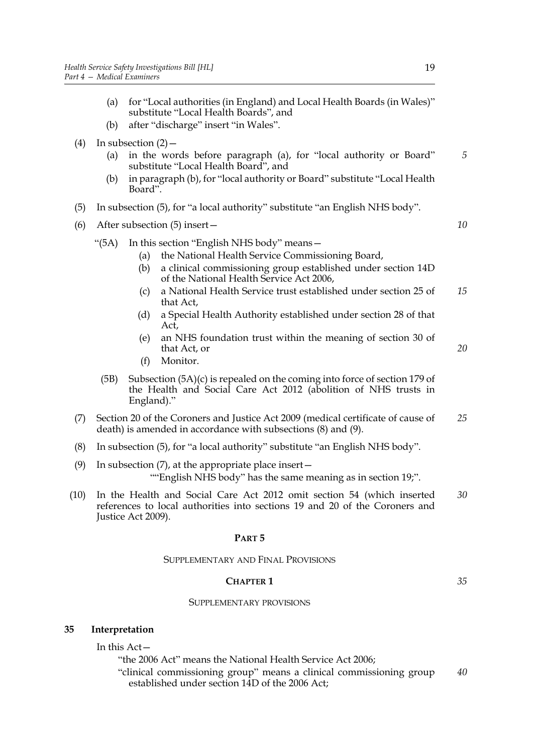- (a) for "Local authorities (in England) and Local Health Boards (in Wales)" substitute "Local Health Boards", and
- (b) after "discharge" insert "in Wales".
- (4) In subsection  $(2)$ 
	- (a) in the words before paragraph (a), for "local authority or Board" substitute "Local Health Board", and
	- (b) in paragraph (b), for "local authority or Board" substitute "Local Health Board".
- (5) In subsection (5), for "a local authority" substitute "an English NHS body".
- <span id="page-24-1"></span>(6) After subsection (5) insert—
	- "(5A) In this section "English NHS body" means—
		- (a) the National Health Service Commissioning Board,
		- (b) a clinical commissioning group established under section 14D of the National Health Service Act 2006,
		- (c) a National Health Service trust established under section 25 of that Act, *15*
		- (d) a Special Health Authority established under section 28 of that Act,
		- (e) an NHS foundation trust within the meaning of section 30 of that Act, or
		- (f) Monitor.
	- (5B) Subsection (5A)(c) is repealed on the coming into force of section 179 of the Health and Social Care Act 2012 (abolition of NHS trusts in England)."
- (7) Section 20 of the Coroners and Justice Act 2009 (medical certificate of cause of death) is amended in accordance with subsections [\(8\)](#page-24-2) and [\(9\).](#page-24-3) *25*
- <span id="page-24-2"></span>(8) In subsection (5), for "a local authority" substitute "an English NHS body".
- <span id="page-24-3"></span>(9) In subsection (7), at the appropriate place insert— ""English NHS body" has the same meaning as in section 19;".
- (10) In the Health and Social Care Act 2012 omit section 54 (which inserted references to local authorities into sections 19 and 20 of the Coroners and Justice Act 2009). *30*

#### **PART 5**

#### SUPPLEMENTARY AND FINAL PROVISIONS

## **CHAPTER 1**

*35*

## SUPPLEMENTARY PROVISIONS

## <span id="page-24-4"></span>**35 Interpretation**

<span id="page-24-0"></span>In this Act—

"the 2006 Act" means the National Health Service Act 2006;

"clinical commissioning group" means a clinical commissioning group established under section 14D of the 2006 Act; *40*

*5*

*10*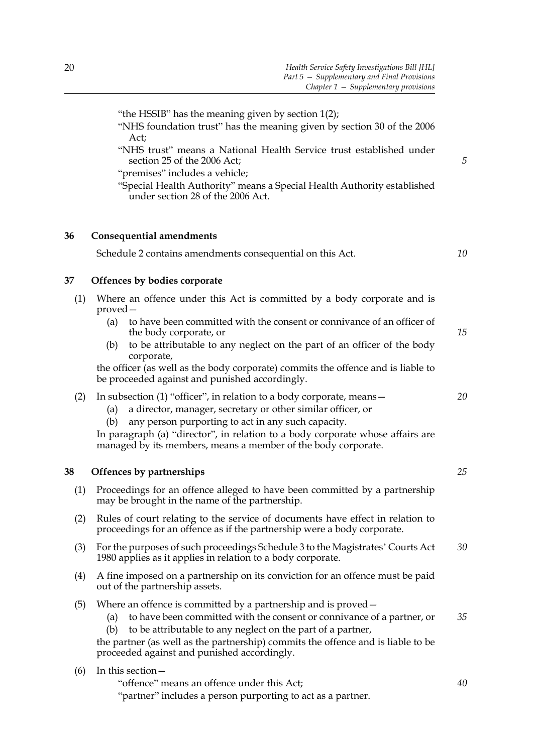"the HSSIB" has the meaning given by section [1](#page-6-4)[\(2\);](#page-6-5)

"NHS foundation trust" has the meaning given by section 30 of the 2006 Act;

"NHS trust" means a National Health Service trust established under section 25 of the 2006 Act;

"premises" includes a vehicle;

"Special Health Authority" means a Special Health Authority established under section 28 of the 2006 Act.

## **36 Consequential amendments**

<span id="page-25-1"></span><span id="page-25-0"></span>Schedule [2](#page-34-0) contains amendments consequential on this Act.

*10*

*5*

## **37 Offences by bodies corporate**

- <span id="page-25-3"></span>(1) Where an offence under this Act is committed by a body corporate and is proved—
	- (a) to have been committed with the consent or connivance of an officer of the body corporate, or
	- (b) to be attributable to any neglect on the part of an officer of the body corporate,

the officer (as well as the body corporate) commits the offence and is liable to be proceeded against and punished accordingly.

- <span id="page-25-4"></span>(2) In subsection [\(1\)](#page-25-3) "officer", in relation to a body corporate, means—
	- (a) a director, manager, secretary or other similar officer, or
	- (b) any person purporting to act in any such capacity.

In paragraph [\(a\)](#page-25-4) "director", in relation to a body corporate whose affairs are managed by its members, means a member of the body corporate.

## <span id="page-25-2"></span>**38 Offences by partnerships**

- (1) Proceedings for an offence alleged to have been committed by a partnership may be brought in the name of the partnership.
- (2) Rules of court relating to the service of documents have effect in relation to proceedings for an offence as if the partnership were a body corporate.
- (3) For the purposes of such proceedings Schedule 3 to the Magistrates' Courts Act 1980 applies as it applies in relation to a body corporate. *30*
- (4) A fine imposed on a partnership on its conviction for an offence must be paid out of the partnership assets.
- (5) Where an offence is committed by a partnership and is proved—
	- (a) to have been committed with the consent or connivance of a partner, or *35*
	- (b) to be attributable to any neglect on the part of a partner,

the partner (as well as the partnership) commits the offence and is liable to be proceeded against and punished accordingly.

## (6) In this section—

| "offence" means an offence under this Act;                  |  |
|-------------------------------------------------------------|--|
| "partner" includes a person purporting to act as a partner. |  |

*20*

*25*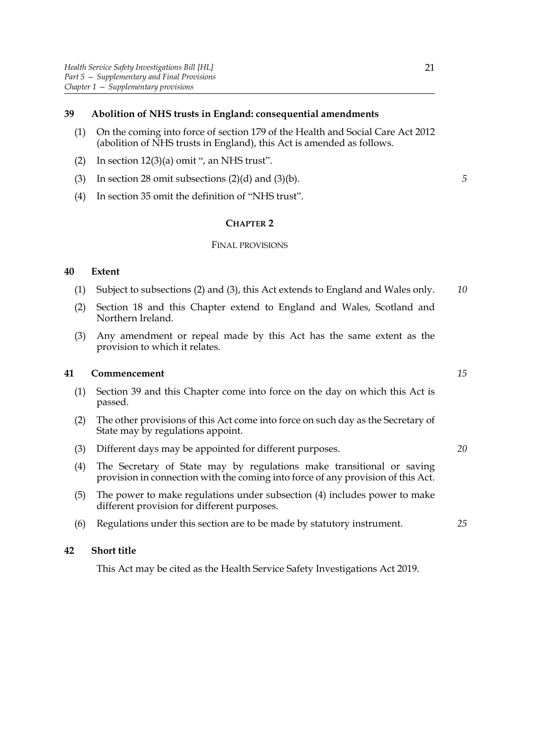## <span id="page-26-4"></span><span id="page-26-0"></span>**39 Abolition of NHS trusts in England: consequential amendments**

- (1) On the coming into force of section 179 of the Health and Social Care Act 2012 (abolition of NHS trusts in England), this Act is amended as follows.
- (2) In section  $12(3)(a)$  $12(3)(a)$  $12(3)(a)$  omit ", an NHS trust".
- (3) In section [28](#page-20-5) omit subsections  $(2)(d)$  $(2)(d)$  and  $(3)(b)$  $(3)(b)$ .
- (4) In section [35](#page-24-4) omit the definition of "NHS trust".

#### **CHAPTER 2**

#### FINAL PROVISIONS

## <span id="page-26-1"></span>**40 Extent**

- (1) Subject to subsections [\(2\)](#page-26-5) and [\(3\)](#page-26-6), this Act extends to England and Wales only. *10*
- <span id="page-26-5"></span>(2) Section [18](#page-15-5) and this Chapter extend to England and Wales, Scotland and Northern Ireland.
- <span id="page-26-6"></span>(3) Any amendment or repeal made by this Act has the same extent as the provision to which it relates.

## <span id="page-26-2"></span>**41 Commencement**

- (1) Section [39](#page-26-4) and this Chapter come into force on the day on which this Act is passed.
- (2) The other provisions of this Act come into force on such day as the Secretary of State may by regulations appoint.
- (3) Different days may be appointed for different purposes.
- <span id="page-26-7"></span>(4) The Secretary of State may by regulations make transitional or saving provision in connection with the coming into force of any provision of this Act.
- (5) The power to make regulations under subsection [\(4\)](#page-26-7) includes power to make different provision for different purposes.
- <span id="page-26-3"></span>(6) Regulations under this section are to be made by statutory instrument.

#### **42 Short title**

This Act may be cited as the Health Service Safety Investigations Act 2019.

*15*

*20*

*25*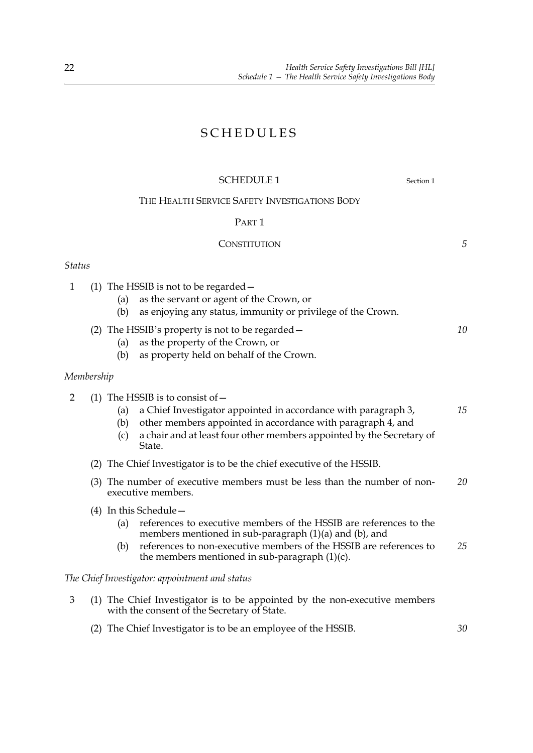## SCHEDULES

## <span id="page-27-0"></span>SCHEDULE [1](#page-6-0) Section 1

## THE HEALTH SERVICE SAFETY INVESTIGATIONS BODY

## PART 1

## **CONSTITUTION**

## *Status*

- 1 (1) The HSSIB is not to be regarded—
	- (a) as the servant or agent of the Crown, or
	- (b) as enjoying any status, immunity or privilege of the Crown.
	- (2) The HSSIB's property is not to be regarded—
		- (a) as the property of the Crown, or
		- (b) as property held on behalf of the Crown.

## *Membership*

- <span id="page-27-6"></span><span id="page-27-5"></span><span id="page-27-4"></span><span id="page-27-3"></span>2 (1) The HSSIB is to consist of—
	- (a) a Chief Investigator appointed in accordance with paragraph [3,](#page-27-2) *15*
	- (b) other members appointed in accordance with paragraph [4](#page-28-0), and
	- (c) a chair and at least four other members appointed by the Secretary of State.
	- (2) The Chief Investigator is to be the chief executive of the HSSIB.
	- (3) The number of executive members must be less than the number of nonexecutive members. *20*
	- (4) In this Schedule—
		- (a) references to executive members of the HSSIB are references to the members mentioned in sub-paragraph [\(1\)](#page-27-3)[\(a\)](#page-27-4) and [\(b\)](#page-27-5), and
		- (b) references to non-executive members of the HSSIB are references to the members mentioned in sub-paragraph  $(1)(c)$  $(1)(c)$ . *25*

## *The Chief Investigator: appointment and status*

- <span id="page-27-2"></span><span id="page-27-1"></span>3 (1) The Chief Investigator is to be appointed by the non-executive members with the consent of the Secretary of State.
	- (2) The Chief Investigator is to be an employee of the HSSIB. *30*

*5*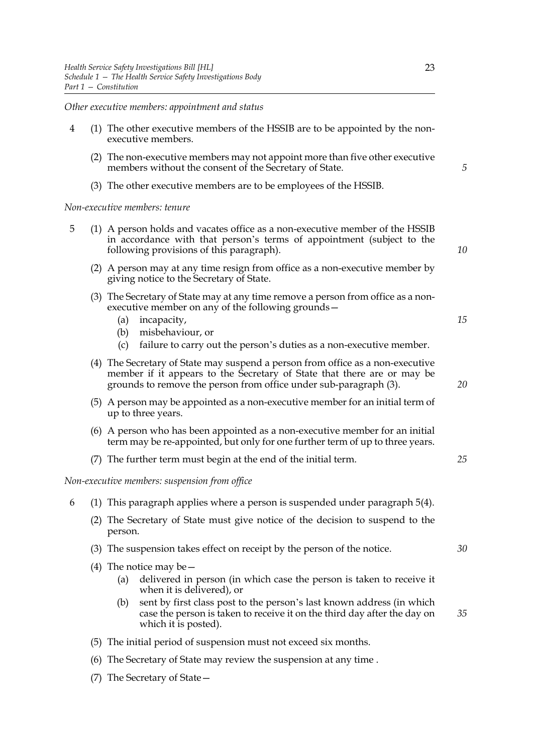*Other executive members: appointment and status*

- <span id="page-28-0"></span>4 (1) The other executive members of the HSSIB are to be appointed by the nonexecutive members.
	- (2) The non-executive members may not appoint more than five other executive members without the consent of the Secretary of State.
	- (3) The other executive members are to be employees of the HSSIB.

*Non-executive members: tenure*

- <span id="page-28-2"></span><span id="page-28-1"></span>5 (1) A person holds and vacates office as a non-executive member of the HSSIB in accordance with that person's terms of appointment (subject to the following provisions of this paragraph).
	- (2) A person may at any time resign from office as a non-executive member by giving notice to the Secretary of State.
	- (3) The Secretary of State may at any time remove a person from office as a nonexecutive member on any of the following grounds—
		- (a) incapacity,
		- (b) misbehaviour, or
		- (c) failure to carry out the person's duties as a non-executive member.
	- (4) The Secretary of State may suspend a person from office as a non-executive member if it appears to the Secretary of State that there are or may be grounds to remove the person from office under sub-paragraph [\(3\).](#page-28-1)
	- (5) A person may be appointed as a non-executive member for an initial term of up to three years.
	- (6) A person who has been appointed as a non-executive member for an initial term may be re-appointed, but only for one further term of up to three years.
	- (7) The further term must begin at the end of the initial term.

<span id="page-28-3"></span>*Non-executive members: suspension from office*

- 6 (1) This paragraph applies where a person is suspended under paragraph [5](#page-28-2)[\(4\).](#page-28-3)
	- (2) The Secretary of State must give notice of the decision to suspend to the person.
	- (3) The suspension takes effect on receipt by the person of the notice.
	- (4) The notice may be  $-$ 
		- (a) delivered in person (in which case the person is taken to receive it when it is delivered), or
		- (b) sent by first class post to the person's last known address (in which case the person is taken to receive it on the third day after the day on which it is posted).
	- (5) The initial period of suspension must not exceed six months.
	- (6) The Secretary of State may review the suspension at any time .
	- (7) The Secretary of State—

*20*

*15*

*5*

*10*

*25*

*30*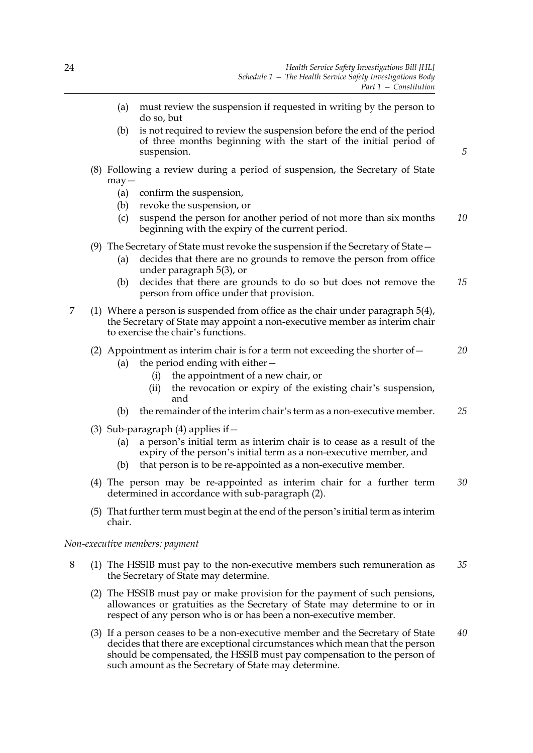*5*

- (a) must review the suspension if requested in writing by the person to do so, but
- (b) is not required to review the suspension before the end of the period of three months beginning with the start of the initial period of suspension.
- (8) Following a review during a period of suspension, the Secretary of State may—
	- (a) confirm the suspension,
	- (b) revoke the suspension, or
	- (c) suspend the person for another period of not more than six months beginning with the expiry of the current period. *10*
- (9) The Secretary of State must revoke the suspension if the Secretary of State—
	- (a) decides that there are no grounds to remove the person from office under paragraph [5](#page-28-2)[\(3\)](#page-28-1), or
	- (b) decides that there are grounds to do so but does not remove the person from office under that provision. *15*
- <span id="page-29-1"></span>7 (1) Where a person is suspended from office as the chair under paragraph [5](#page-28-2)[\(4\)](#page-28-3), the Secretary of State may appoint a non-executive member as interim chair to exercise the chair's functions.
	- (2) Appointment as interim chair is for a term not exceeding the shorter of  $-$ *20*
		- (a) the period ending with either  $-$ 
			- (i) the appointment of a new chair, or
			- (ii) the revocation or expiry of the existing chair's suspension, and
		- (b) the remainder of the interim chair's term as a non-executive member. *25*
	- (3) Sub-paragraph  $(4)$  applies if  $-$ 
		- (a) a person's initial term as interim chair is to cease as a result of the expiry of the person's initial term as a non-executive member, and
		- (b) that person is to be re-appointed as a non-executive member.
	- (4) The person may be re-appointed as interim chair for a further term determined in accordance with sub-paragraph [\(2\)](#page-29-1). *30*
	- (5) That further term must begin at the end of the person's initial term as interim chair.

<span id="page-29-0"></span>*Non-executive members: payment*

- 8 (1) The HSSIB must pay to the non-executive members such remuneration as the Secretary of State may determine. *35*
	- (2) The HSSIB must pay or make provision for the payment of such pensions, allowances or gratuities as the Secretary of State may determine to or in respect of any person who is or has been a non-executive member.
	- (3) If a person ceases to be a non-executive member and the Secretary of State decides that there are exceptional circumstances which mean that the person should be compensated, the HSSIB must pay compensation to the person of such amount as the Secretary of State may determine. *40*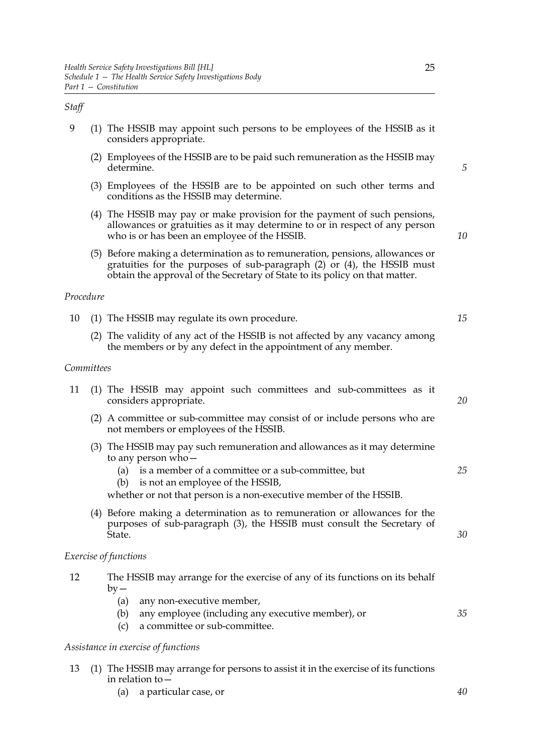## *Staff*

- <span id="page-30-1"></span><span id="page-30-0"></span>9 (1) The HSSIB may appoint such persons to be employees of the HSSIB as it considers appropriate.
	- (2) Employees of the HSSIB are to be paid such remuneration as the HSSIB may determine.
	- (3) Employees of the HSSIB are to be appointed on such other terms and conditions as the HSSIB may determine.
	- (4) The HSSIB may pay or make provision for the payment of such pensions, allowances or gratuities as it may determine to or in respect of any person who is or has been an employee of the HSSIB.
	- (5) Before making a determination as to remuneration, pensions, allowances or gratuities for the purposes of sub-paragraph [\(2\)](#page-30-0) or [\(4\)](#page-30-1), the HSSIB must obtain the approval of the Secretary of State to its policy on that matter.

## *Procedure*

- 10 (1) The HSSIB may regulate its own procedure.
	- (2) The validity of any act of the HSSIB is not affected by any vacancy among the members or by any defect in the appointment of any member.

## *Committees*

- <span id="page-30-2"></span>11 (1) The HSSIB may appoint such committees and sub-committees as it considers appropriate.
	- (2) A committee or sub-committee may consist of or include persons who are not members or employees of the HSSIB.
	- (3) The HSSIB may pay such remuneration and allowances as it may determine to any person who—
		- (a) is a member of a committee or a sub-committee, but
		- (b) is not an employee of the HSSIB,
		- whether or not that person is a non-executive member of the HSSIB.
	- (4) Before making a determination as to remuneration or allowances for the purposes of sub-paragraph [\(3\)](#page-30-2), the HSSIB must consult the Secretary of State.

## *Exercise of functions*

- 12 The HSSIB may arrange for the exercise of any of its functions on its behalf  $bv -$ 
	- (a) any non-executive member,
	- (b) any employee (including any executive member), or
	- (c) a committee or sub-committee.

## *Assistance in exercise of functions*

- 13 (1) The HSSIB may arrange for persons to assist it in the exercise of its functions in relation to—
	- (a) a particular case, or

*15*

*5*

*10*

*25*

*30*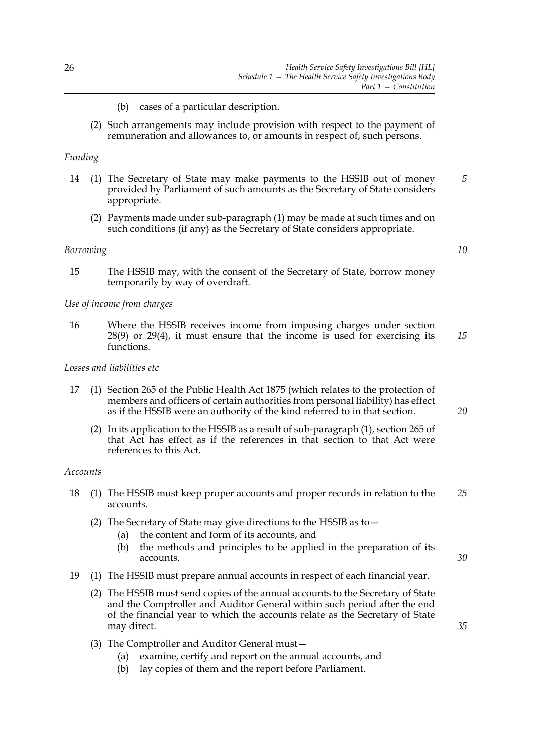- (b) cases of a particular description.
- (2) Such arrangements may include provision with respect to the payment of remuneration and allowances to, or amounts in respect of, such persons.

## *Funding*

- <span id="page-31-0"></span>14 (1) The Secretary of State may make payments to the HSSIB out of money provided by Parliament of such amounts as the Secretary of State considers appropriate. *5*
	- (2) Payments made under sub-paragraph [\(1\)](#page-31-0) may be made at such times and on such conditions (if any) as the Secretary of State considers appropriate.

## *Borrowing*

15 The HSSIB may, with the consent of the Secretary of State, borrow money temporarily by way of overdraft.

#### *Use of income from charges*

16 Where the HSSIB receives income from imposing charges under section [28](#page-20-0)[\(9\)](#page-21-5) or [29](#page-21-0)[\(4\)](#page-21-6), it must ensure that the income is used for exercising its functions. *15*

## *Losses and liabilities etc*

- <span id="page-31-1"></span>17 (1) Section 265 of the Public Health Act 1875 (which relates to the protection of members and officers of certain authorities from personal liability) has effect as if the HSSIB were an authority of the kind referred to in that section.
	- (2) In its application to the HSSIB as a result of sub-paragraph [\(1\),](#page-31-1) section 265 of that Act has effect as if the references in that section to that Act were references to this Act.

#### *Accounts*

- 18 (1) The HSSIB must keep proper accounts and proper records in relation to the accounts. *25*
	- (2) The Secretary of State may give directions to the HSSIB as to—
		- (a) the content and form of its accounts, and
		- (b) the methods and principles to be applied in the preparation of its accounts.
- 19 (1) The HSSIB must prepare annual accounts in respect of each financial year.
	- (2) The HSSIB must send copies of the annual accounts to the Secretary of State and the Comptroller and Auditor General within such period after the end of the financial year to which the accounts relate as the Secretary of State may direct.
	- (3) The Comptroller and Auditor General must—
		- (a) examine, certify and report on the annual accounts, and
		- (b) lay copies of them and the report before Parliament.

*20*

*10*

*30*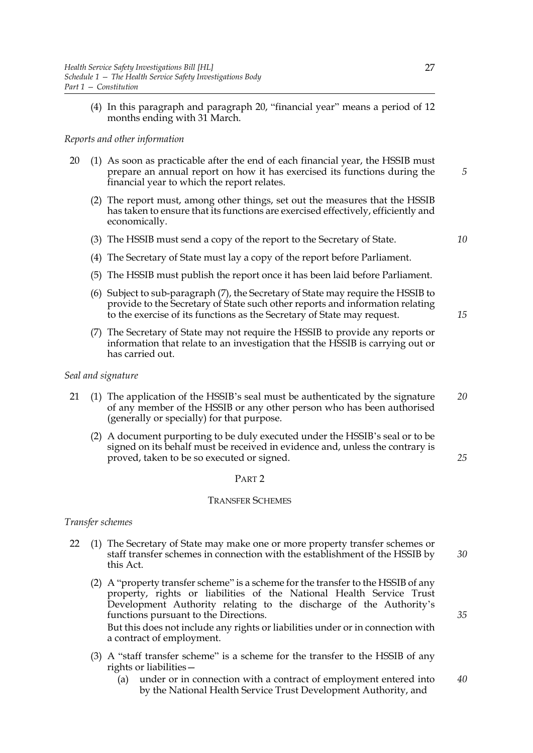(4) In this paragraph and paragraph [20](#page-32-0), "financial year" means a period of 12 months ending with 31 March.

## *Reports and other information*

- <span id="page-32-0"></span>20 (1) As soon as practicable after the end of each financial year, the HSSIB must prepare an annual report on how it has exercised its functions during the financial year to which the report relates.
	- (2) The report must, among other things, set out the measures that the HSSIB has taken to ensure that its functions are exercised effectively, efficiently and economically.
	- (3) The HSSIB must send a copy of the report to the Secretary of State.

*10*

*15*

*25*

*5*

- (4) The Secretary of State must lay a copy of the report before Parliament.
- (5) The HSSIB must publish the report once it has been laid before Parliament.
- (6) Subject to sub-paragraph [\(7\),](#page-32-1) the Secretary of State may require the HSSIB to provide to the Secretary of State such other reports and information relating to the exercise of its functions as the Secretary of State may request.
- <span id="page-32-1"></span>(7) The Secretary of State may not require the HSSIB to provide any reports or information that relate to an investigation that the HSSIB is carrying out or has carried out.

## *Seal and signature*

- 21 (1) The application of the HSSIB's seal must be authenticated by the signature of any member of the HSSIB or any other person who has been authorised (generally or specially) for that purpose. *20*
	- (2) A document purporting to be duly executed under the HSSIB's seal or to be signed on its behalf must be received in evidence and, unless the contrary is proved, taken to be so executed or signed.

#### PART 2

#### TRANSFER SCHEMES

## *Transfer schemes*

- 22 (1) The Secretary of State may make one or more property transfer schemes or staff transfer schemes in connection with the establishment of the HSSIB by this Act. *30*
	- (2) A "property transfer scheme" is a scheme for the transfer to the HSSIB of any property, rights or liabilities of the National Health Service Trust Development Authority relating to the discharge of the Authority's functions pursuant to the Directions. But this does not include any rights or liabilities under or in connection with a contract of employment.
	- (3) A "staff transfer scheme" is a scheme for the transfer to the HSSIB of any rights or liabilities—
		- (a) under or in connection with a contract of employment entered into by the National Health Service Trust Development Authority, and *40*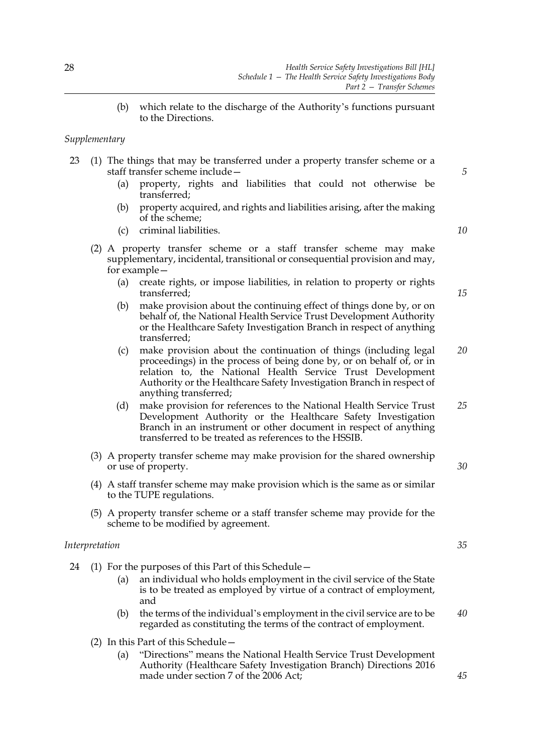(b) which relate to the discharge of the Authority's functions pursuant to the Directions.

## *Supplementary*

- 23 (1) The things that may be transferred under a property transfer scheme or a staff transfer scheme include—
	- (a) property, rights and liabilities that could not otherwise be transferred;
	- (b) property acquired, and rights and liabilities arising, after the making of the scheme;
	- (c) criminal liabilities.

(2) A property transfer scheme or a staff transfer scheme may make supplementary, incidental, transitional or consequential provision and may, for example—

- (a) create rights, or impose liabilities, in relation to property or rights transferred;
- (b) make provision about the continuing effect of things done by, or on behalf of, the National Health Service Trust Development Authority or the Healthcare Safety Investigation Branch in respect of anything transferred;
- (c) make provision about the continuation of things (including legal proceedings) in the process of being done by, or on behalf of, or in relation to, the National Health Service Trust Development Authority or the Healthcare Safety Investigation Branch in respect of anything transferred; *20*
- (d) make provision for references to the National Health Service Trust Development Authority or the Healthcare Safety Investigation Branch in an instrument or other document in respect of anything transferred to be treated as references to the HSSIB. *25*
- (3) A property transfer scheme may make provision for the shared ownership or use of property.
- (4) A staff transfer scheme may make provision which is the same as or similar to the TUPE regulations.
- (5) A property transfer scheme or a staff transfer scheme may provide for the scheme to be modified by agreement.

## *Interpretation*

- 24 (1) For the purposes of this Part of this Schedule—
	- (a) an individual who holds employment in the civil service of the State is to be treated as employed by virtue of a contract of employment, and
	- (b) the terms of the individual's employment in the civil service are to be regarded as constituting the terms of the contract of employment.
	- (2) In this Part of this Schedule—
		- (a) "Directions" means the National Health Service Trust Development Authority (Healthcare Safety Investigation Branch) Directions 2016 made under section 7 of the 2006 Act;

*10*

*5*

*15*

*35*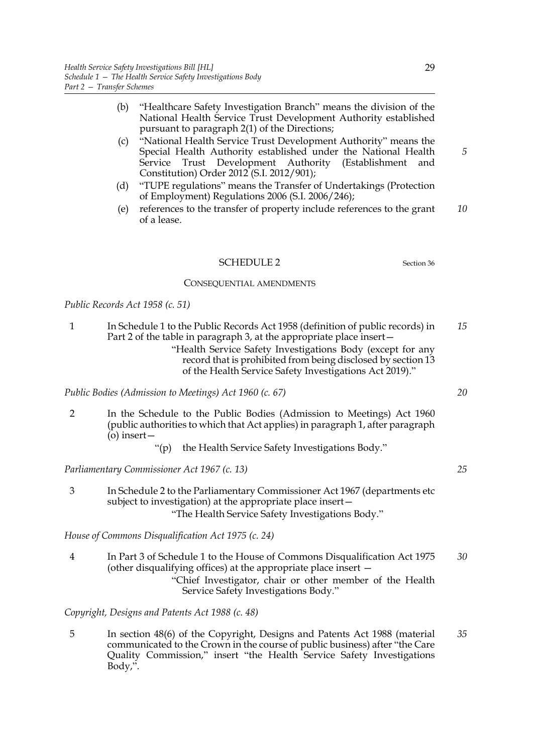- (b) "Healthcare Safety Investigation Branch" means the division of the National Health Service Trust Development Authority established pursuant to paragraph 2(1) of the Directions;
- (c) "National Health Service Trust Development Authority" means the Special Health Authority established under the National Health Service Trust Development Authority (Establishment and Constitution) Order 2012 (S.I. 2012/901);
- (d) "TUPE regulations" means the Transfer of Undertakings (Protection of Employment) Regulations 2006 (S.I. 2006/246);
- (e) references to the transfer of property include references to the grant of a lease. *10*

## <span id="page-34-0"></span>SCHEDULE 2 Section [36](#page-25-0)

#### CONSEQUENTIAL AMENDMENTS

## *Public Records Act 1958 (c. 51)*

- 1 In Schedule 1 to the Public Records Act 1958 (definition of public records) in Part 2 of the table in paragraph 3, at the appropriate place insert— "Health Service Safety Investigations Body (except for any *15*
	- record that is prohibited from being disclosed by section [13](#page-13-0) of the Health Service Safety Investigations Act 2019)."

*Public Bodies (Admission to Meetings) Act 1960 (c. 67)*

- 2 In the Schedule to the Public Bodies (Admission to Meetings) Act 1960 (public authorities to which that Act applies) in paragraph 1, after paragraph  $\ddot{\text{o}}$ ) insert —
	- "(p) the Health Service Safety Investigations Body."

*Parliamentary Commissioner Act 1967 (c. 13)*

3 In Schedule 2 to the Parliamentary Commissioner Act 1967 (departments etc subject to investigation) at the appropriate place insert— "The Health Service Safety Investigations Body."

*House of Commons Disqualification Act 1975 (c. 24)*

4 In Part 3 of Schedule 1 to the House of Commons Disqualification Act 1975 (other disqualifying offices) at the appropriate place insert — "Chief Investigator, chair or other member of the Health Service Safety Investigations Body." *30*

*Copyright, Designs and Patents Act 1988 (c. 48)*

5 In section 48(6) of the Copyright, Designs and Patents Act 1988 (material communicated to the Crown in the course of public business) after "the Care Quality Commission," insert "the Health Service Safety Investigations Body,". *35*

*5*

*20*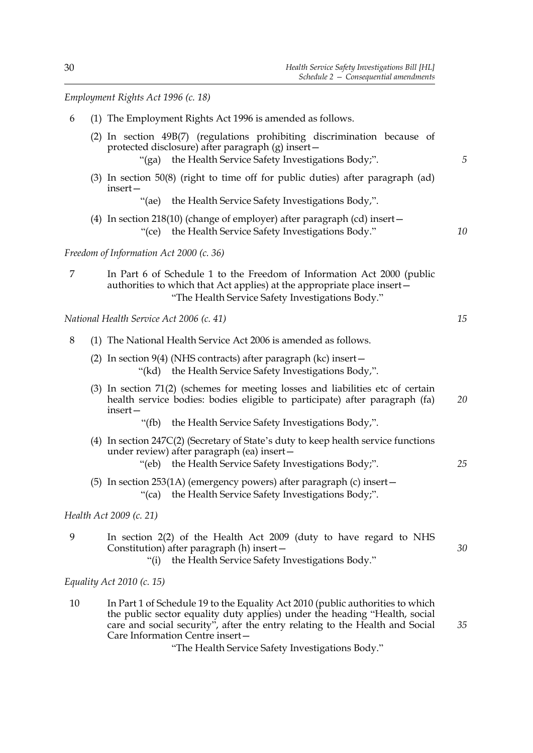*Employment Rights Act 1996 (c. 18)*

| 6  | (1) The Employment Rights Act 1996 is amended as follows.                                                                                                                                             |    |
|----|-------------------------------------------------------------------------------------------------------------------------------------------------------------------------------------------------------|----|
|    | (2) In section 49B(7) (regulations prohibiting discrimination because of<br>protected disclosure) after paragraph (g) insert-<br>"(ga) the Health Service Safety Investigations Body;".               | 5  |
|    | (3) In section 50(8) (right to time off for public duties) after paragraph (ad)<br>insert-                                                                                                            |    |
|    | "(ae) the Health Service Safety Investigations Body,".                                                                                                                                                |    |
|    | (4) In section 218(10) (change of employer) after paragraph (cd) insert $-$<br>"(ce) the Health Service Safety Investigations Body."                                                                  | 10 |
|    | Freedom of Information Act 2000 (c. 36)                                                                                                                                                               |    |
| 7  | In Part 6 of Schedule 1 to the Freedom of Information Act 2000 (public<br>authorities to which that Act applies) at the appropriate place insert-<br>"The Health Service Safety Investigations Body." |    |
|    | National Health Service Act 2006 (c. 41)                                                                                                                                                              | 15 |
| 8  | (1) The National Health Service Act 2006 is amended as follows.                                                                                                                                       |    |
|    | (2) In section $9(4)$ (NHS contracts) after paragraph (kc) insert $-$<br>"(kd) the Health Service Safety Investigations Body,".                                                                       |    |
|    | (3) In section 71(2) (schemes for meeting losses and liabilities etc of certain<br>health service bodies: bodies eligible to participate) after paragraph (fa)<br>insert-                             | 20 |
|    | "(fb) the Health Service Safety Investigations Body,".                                                                                                                                                |    |
|    | (4) In section 247C(2) (Secretary of State's duty to keep health service functions<br>under review) after paragraph (ea) insert-<br>the Health Service Safety Investigations Body;".<br>"(eb)         | 25 |
|    | (5) In section 253(1A) (emergency powers) after paragraph (c) insert -<br>the Health Service Safety Investigations Body;".<br>" $(ca)$                                                                |    |
|    | Health Act 2009 (c. 21)                                                                                                                                                                               |    |
| 9  | In section 2(2) of the Health Act 2009 (duty to have regard to NHS<br>Constitution) after paragraph (h) insert-<br>the Health Service Safety Investigations Body."<br>"(i)                            | 30 |
|    | Equality Act 2010 (c. 15)                                                                                                                                                                             |    |
| 10 | In Part 1 of Schedule 19 to the Equality Act 2010 (public authorities to which<br>the public sector equality duty applies) under the heading "Health, social                                          |    |

Care Information Centre insert— "The Health Service Safety Investigations Body." *35*

care and social security", after the entry relating to the Health and Social